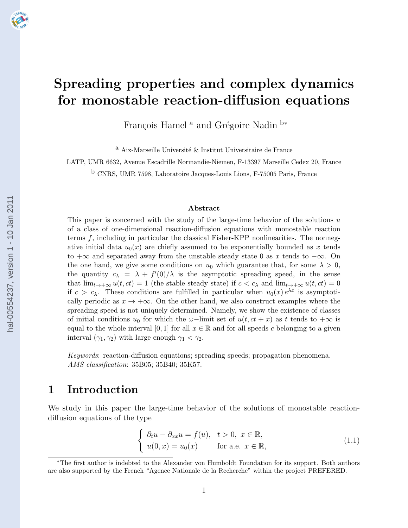# Spreading properties and complex dynamics for monostable reaction-diffusion equations

François Hamel  $^{\rm a}$  and Grégoire Nadin  $^{\rm b*}$ 

 $^{\rm a}$ Aix-Marseille Université $\&$  Institut Universitaire de France

LATP, UMR 6632, Avenue Escadrille Normandie-Niemen, F-13397 Marseille Cedex 20, France

b CNRS, UMR 7598, Laboratoire Jacques-Louis Lions, F-75005 Paris, France

#### Abstract

This paper is concerned with the study of the large-time behavior of the solutions  $u$ of a class of one-dimensional reaction-diffusion equations with monostable reaction terms  $f$ , including in particular the classical Fisher-KPP nonlinearities. The nonnegative initial data  $u_0(x)$  are chiefly assumed to be exponentially bounded as x tends to  $+\infty$  and separated away from the unstable steady state 0 as x tends to  $-\infty$ . On the one hand, we give some conditions on  $u_0$  which guarantee that, for some  $\lambda > 0$ , the quantity  $c_{\lambda} = \lambda + f'(0)/\lambda$  is the asymptotic spreading speed, in the sense that  $\lim_{t\to+\infty}u(t,ct)=1$  (the stable steady state) if  $c < c_\lambda$  and  $\lim_{t\to+\infty}u(t,ct)=0$ if  $c > c_{\lambda}$ . These conditions are fulfilled in particular when  $u_0(x) e^{\lambda x}$  is asymptotically periodic as  $x \to +\infty$ . On the other hand, we also construct examples where the spreading speed is not uniquely determined. Namely, we show the existence of classes of initial conditions  $u_0$  for which the  $\omega$ -limit set of  $u(t, ct + x)$  as t tends to  $+\infty$  is equal to the whole interval [0, 1] for all  $x \in \mathbb{R}$  and for all speeds c belonging to a given interval  $(\gamma_1, \gamma_2)$  with large enough  $\gamma_1 < \gamma_2$ .

Keywords: reaction-diffusion equations; spreading speeds; propagation phenomena. AMS classification: 35B05; 35B40; 35K57.

### 1 Introduction

We study in this paper the large-time behavior of the solutions of monostable reactiondiffusion equations of the type

$$
\begin{cases} \n\partial_t u - \partial_{xx} u = f(u), \quad t > 0, \ x \in \mathbb{R}, \\ \nu(0, x) = u_0(x) \quad \text{for a.e. } x \in \mathbb{R}, \n\end{cases} \tag{1.1}
$$

<sup>∗</sup>The first author is indebted to the Alexander von Humboldt Foundation for its support. Both authors are also supported by the French "Agence Nationale de la Recherche" within the project PREFERED.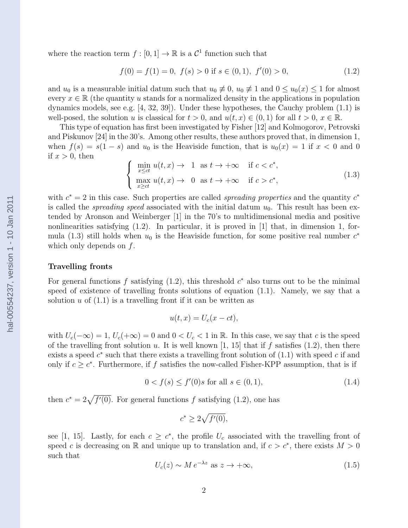where the reaction term  $f : [0, 1] \to \mathbb{R}$  is a  $\mathcal{C}^1$  function such that

$$
f(0) = f(1) = 0, \ f(s) > 0 \text{ if } s \in (0, 1), \ f'(0) > 0,
$$
\n
$$
(1.2)
$$

and  $u_0$  is a measurable initial datum such that  $u_0 \neq 0$ ,  $u_0 \neq 1$  and  $0 \leq u_0(x) \leq 1$  for almost every  $x \in \mathbb{R}$  (the quantity u stands for a normalized density in the applications in population dynamics models, see e.g. [4, 32, 39]). Under these hypotheses, the Cauchy problem (1.1) is well-posed, the solution u is classical for  $t > 0$ , and  $u(t, x) \in (0, 1)$  for all  $t > 0$ ,  $x \in \mathbb{R}$ .

This type of equation has first been investigated by Fisher [12] and Kolmogorov, Petrovski and Piskunov [24] in the 30's. Among other results, these authors proved that, in dimension 1, when  $f(s) = s(1-s)$  and  $u_0$  is the Heaviside function, that is  $u_0(x) = 1$  if  $x < 0$  and 0 if  $x > 0$ , then

$$
\begin{cases}\n\min_{x \le ct} u(t, x) \to 1 \text{ as } t \to +\infty & \text{if } c < c^*,\\ \max_{x \ge ct} u(t, x) \to 0 \text{ as } t \to +\infty & \text{if } c > c^*,\n\end{cases}
$$
\n(1.3)

with  $c^* = 2$  in this case. Such properties are called *spreading properties* and the quantity  $c^*$ is called the *spreading speed* associated with the initial datum  $u_0$ . This result has been extended by Aronson and Weinberger [1] in the 70's to multidimensional media and positive nonlinearities satisfying  $(1.2)$ . In particular, it is proved in [1] that, in dimension 1, formula (1.3) still holds when  $u_0$  is the Heaviside function, for some positive real number  $c^*$ which only depends on  $f$ .

#### Travelling fronts

For general functions f satisfying  $(1.2)$ , this threshold  $c^*$  also turns out to be the minimal speed of existence of travelling fronts solutions of equation (1.1). Namely, we say that a solution  $u$  of  $(1.1)$  is a travelling front if it can be written as

$$
u(t,x) = U_c(x - ct),
$$

with  $U_c(-\infty) = 1$ ,  $U_c(+\infty) = 0$  and  $0 < U_c < 1$  in R. In this case, we say that c is the speed of the travelling front solution u. It is well known [1, 15] that if f satisfies (1.2), then there exists a speed  $c^*$  such that there exists a travelling front solution of  $(1.1)$  with speed c if and only if  $c \geq c^*$ . Furthermore, if f satisfies the now-called Fisher-KPP assumption, that is if

$$
0 < f(s) \le f'(0)s \text{ for all } s \in (0, 1), \tag{1.4}
$$

then  $c^* = 2\sqrt{f'(0)}$ . For general functions f satisfying (1.2), one has

$$
c^* \ge 2\sqrt{f'(0)},
$$

see [1, 15]. Lastly, for each  $c \geq c^*$ , the profile  $U_c$  associated with the travelling front of speed c is decreasing on R and unique up to translation and, if  $c > c^*$ , there exists  $M > 0$ such that

$$
U_c(z) \sim M e^{-\lambda z} \text{ as } z \to +\infty,
$$
\n(1.5)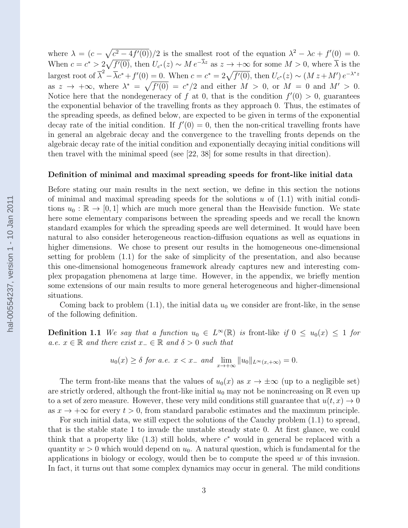where  $\lambda = (c - \sqrt{c^2 - 4f'(0)})/2$  is the smallest root of the equation  $\lambda^2 - \lambda c + f'(0) = 0$ . When  $c = c^* > 2\sqrt{f'(0)}$ , then  $U_{c^*}(z) \sim M e^{-\overline{\lambda}z}$  as  $z \to +\infty$  for some  $M > 0$ , where  $\overline{\lambda}$  is the largest root of  $\overline{\lambda}^2 - \overline{\lambda}c^* + f'(0) = 0$ . When  $c = c^* = 2\sqrt{f'(0)}$ , then  $U_{c^*}(z) \sim (M z + M') e^{-\lambda^* z}$ as  $z \to +\infty$ , where  $\lambda^* = \sqrt{f'(0)} = c^*/2$  and either  $M > 0$ , or  $M = 0$  and  $M' > 0$ . Notice here that the nondegeneracy of f at 0, that is the condition  $f'(0) > 0$ , guarantees the exponential behavior of the travelling fronts as they approach 0. Thus, the estimates of the spreading speeds, as defined below, are expected to be given in terms of the exponential decay rate of the initial condition. If  $f'(0) = 0$ , then the non-critical travelling fronts have in general an algebraic decay and the convergence to the travelling fronts depends on the algebraic decay rate of the initial condition and exponentially decaying initial conditions will then travel with the minimal speed (see [22, 38] for some results in that direction).

#### Definition of minimal and maximal spreading speeds for front-like initial data

Before stating our main results in the next section, we define in this section the notions of minimal and maximal spreading speeds for the solutions  $u$  of  $(1.1)$  with initial conditions  $u_0 : \mathbb{R} \to [0, 1]$  which are much more general than the Heaviside function. We state here some elementary comparisons between the spreading speeds and we recall the known standard examples for which the spreading speeds are well determined. It would have been natural to also consider heterogeneous reaction-diffusion equations as well as equations in higher dimensions. We chose to present our results in the homogeneous one-dimensional setting for problem (1.1) for the sake of simplicity of the presentation, and also because this one-dimensional homogeneous framework already captures new and interesting complex propagation phenomena at large time. However, in the appendix, we briefly mention some extensions of our main results to more general heterogeneous and higher-dimensional situations.

Coming back to problem  $(1.1)$ , the initial data  $u_0$  we consider are front-like, in the sense of the following definition.

**Definition 1.1** We say that a function  $u_0 \in L^{\infty}(\mathbb{R})$  is front-like if  $0 \le u_0(x) \le 1$  for a.e.  $x \in \mathbb{R}$  and there exist  $x_-\in \mathbb{R}$  and  $\delta > 0$  such that

$$
u_0(x) \geq \delta
$$
 for a.e.  $x < x_-$  and  $\lim_{x \to +\infty} \|u_0\|_{L^\infty(x, +\infty)} = 0$ .

The term front-like means that the values of  $u_0(x)$  as  $x \to \pm \infty$  (up to a negligible set) are strictly ordered, although the front-like initial  $u_0$  may not be nonincreasing on R even up to a set of zero measure. However, these very mild conditions still guarantee that  $u(t, x) \to 0$ as  $x \to +\infty$  for every  $t > 0$ , from standard parabolic estimates and the maximum principle.

For such initial data, we still expect the solutions of the Cauchy problem (1.1) to spread, that is the stable state 1 to invade the unstable steady state 0. At first glance, we could think that a property like  $(1.3)$  still holds, where  $c^*$  would in general be replaced with a quantity  $w > 0$  which would depend on  $u<sub>0</sub>$ . A natural question, which is fundamental for the applications in biology or ecology, would then be to compute the speed  $w$  of this invasion. In fact, it turns out that some complex dynamics may occur in general. The mild conditions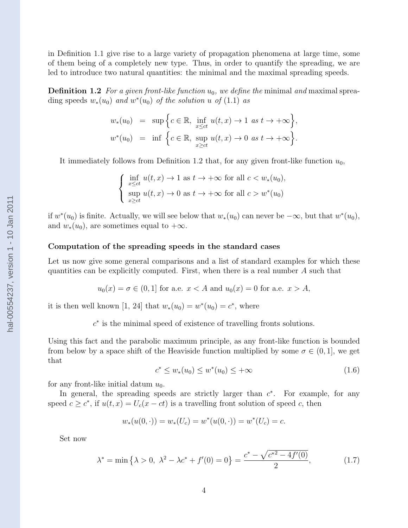in Definition 1.1 give rise to a large variety of propagation phenomena at large time, some of them being of a completely new type. Thus, in order to quantify the spreading, we are led to introduce two natural quantities: the minimal and the maximal spreading speeds.

**Definition 1.2** For a given front-like function  $u_0$ , we define the minimal and maximal spreading speeds  $w_*(u_0)$  and  $w^*(u_0)$  of the solution u of (1.1) as

$$
w_*(u_0) = \sup \Big\{ c \in \mathbb{R}, \inf_{x \le ct} u(t, x) \to 1 \text{ as } t \to +\infty \Big\},
$$
  

$$
w^*(u_0) = \inf \Big\{ c \in \mathbb{R}, \sup_{x \ge ct} u(t, x) \to 0 \text{ as } t \to +\infty \Big\}.
$$

It immediately follows from Definition 1.2 that, for any given front-like function  $u_0$ ,

$$
\begin{cases} \inf_{x \le ct} u(t, x) \to 1 \text{ as } t \to +\infty \text{ for all } c < w_*(u_0), \\ \sup_{x \ge ct} u(t, x) \to 0 \text{ as } t \to +\infty \text{ for all } c > w^*(u_0) \end{cases}
$$

if  $w^*(u_0)$  is finite. Actually, we will see below that  $w_*(u_0)$  can never be  $-\infty$ , but that  $w^*(u_0)$ , and  $w_*(u_0)$ , are sometimes equal to  $+\infty$ .

#### Computation of the spreading speeds in the standard cases

Let us now give some general comparisons and a list of standard examples for which these quantities can be explicitly computed. First, when there is a real number A such that

$$
u_0(x) = \sigma \in (0, 1]
$$
 for a.e.  $x < A$  and  $u_0(x) = 0$  for a.e.  $x > A$ ,

it is then well known [1, 24] that  $w_*(u_0) = w^*(u_0) = c^*$ , where

 $c^*$  is the minimal speed of existence of travelling fronts solutions.

Using this fact and the parabolic maximum principle, as any front-like function is bounded from below by a space shift of the Heaviside function multiplied by some  $\sigma \in (0,1]$ , we get that

$$
c^* \le w_*(u_0) \le w^*(u_0) \le +\infty \tag{1.6}
$$

for any front-like initial datum  $u_0$ .

In general, the spreading speeds are strictly larger than  $c^*$ . For example, for any speed  $c \geq c^*$ , if  $u(t, x) = U_c(x - ct)$  is a travelling front solution of speed c, then

$$
w_*(u(0, \cdot)) = w_*(U_c) = w^*(u(0, \cdot)) = w^*(U_c) = c.
$$

Set now

$$
\lambda^* = \min\left\{\lambda > 0, \ \lambda^2 - \lambda c^* + f'(0) = 0\right\} = \frac{c^* - \sqrt{c^{*2} - 4f'(0)}}{2},\tag{1.7}
$$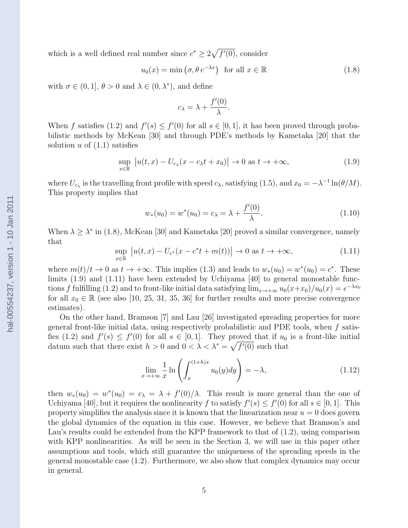which is a well defined real number since  $c^* \geq 2\sqrt{f'(0)}$ , consider

$$
u_0(x) = \min(\sigma, \theta \, e^{-\lambda x}) \quad \text{for all } x \in \mathbb{R}
$$
 (1.8)

with  $\sigma \in (0,1], \theta > 0$  and  $\lambda \in (0,\lambda^*)$ , and define

$$
c_{\lambda} = \lambda + \frac{f'(0)}{\lambda}.
$$

When f satisfies (1.2) and  $f'(s) \leq f'(0)$  for all  $s \in [0,1]$ , it has been proved through probabilistic methods by McKean [30] and through PDE's methods by Kametaka [20] that the solution  $u$  of  $(1.1)$  satisfies

$$
\sup_{x \in \mathbb{R}} |u(t, x) - U_{c_{\lambda}}(x - c_{\lambda}t + x_0)| \to 0 \text{ as } t \to +\infty,
$$
\n(1.9)

where  $U_{c_{\lambda}}$  is the travelling front profile with speed  $c_{\lambda}$ , satisfying (1.5), and  $x_0 = -\lambda^{-1} \ln(\theta/M)$ . This property implies that

$$
w_*(u_0) = w^*(u_0) = c_\lambda = \lambda + \frac{f'(0)}{\lambda}.
$$
\n(1.10)

When  $\lambda \geq \lambda^*$  in (1.8), McKean [30] and Kametaka [20] proved a similar convergence, namely that

$$
\sup_{x \in \mathbb{R}} \left| u(t, x) - U_{c^*}(x - c^*t + m(t)) \right| \to 0 \text{ as } t \to +\infty,
$$
\n(1.11)

where  $m(t)/t \to 0$  as  $t \to +\infty$ . This implies (1.3) and leads to  $w_*(u_0) = w^*(u_0) = c^*$ . These limits (1.9) and (1.11) have been extended by Uchiyama [40] to general monostable functions f fulfilling (1.2) and to front-like initial data satisfying  $\lim_{x\to+\infty} u_0(x+x_0)/u_0(x) = e^{-\lambda x_0}$ for all  $x_0 \in \mathbb{R}$  (see also [10, 25, 31, 35, 36] for further results and more precise convergence estimates).

On the other hand, Bramson [7] and Lau [26] investigated spreading properties for more general front-like initial data, using respectively probabilistic and PDE tools, when  $f$  satisfies (1.2) and  $f'(s) \leq f'(0)$  for all  $s \in [0,1]$ . They proved that if  $u_0$  is a front-like initial datum such that there exist  $h > 0$  and  $0 < \lambda < \lambda^* = \sqrt{f'(0)}$  such that

$$
\lim_{x \to +\infty} \frac{1}{x} \ln \left( \int_{x}^{(1+h)x} u_0(y) dy \right) = -\lambda,
$$
\n(1.12)

then  $w_*(u_0) = w^*(u_0) = c_\lambda = \lambda + f'(0)/\lambda$ . This result is more general than the one of Uchiyama [40], but it requires the nonlinearity f to satisfy  $f'(s) \le f'(0)$  for all  $s \in [0,1]$ . This property simplifies the analysis since it is known that the linearization near  $u = 0$  does govern the global dynamics of the equation in this case. However, we believe that Bramson's and Lau's results could be extended from the KPP framework to that of (1.2), using comparison with KPP nonlinearities. As will be seen in the Section 3, we will use in this paper other assumptions and tools, which still guarantee the uniqueness of the spreading speeds in the general monostable case (1.2). Furthermore, we also show that complex dynamics may occur in general.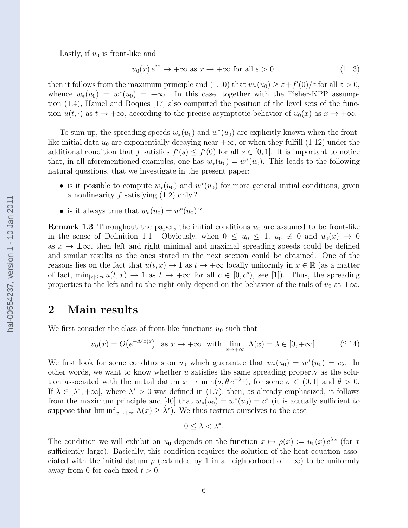Lastly, if  $u_0$  is front-like and

$$
u_0(x) e^{\varepsilon x} \to +\infty \text{ as } x \to +\infty \text{ for all } \varepsilon > 0,
$$
\n(1.13)

then it follows from the maximum principle and (1.10) that  $w_*(u_0) \geq \varepsilon + f'(0)/\varepsilon$  for all  $\varepsilon > 0$ , whence  $w_*(u_0) = w^*(u_0) = +\infty$ . In this case, together with the Fisher-KPP assumption (1.4), Hamel and Roques [17] also computed the position of the level sets of the function  $u(t, \cdot)$  as  $t \to +\infty$ , according to the precise asymptotic behavior of  $u_0(x)$  as  $x \to +\infty$ .

To sum up, the spreading speeds  $w_*(u_0)$  and  $w^*(u_0)$  are explicitly known when the frontlike initial data  $u_0$  are exponentially decaying near  $+\infty$ , or when they fulfill (1.12) under the additional condition that f satisfies  $f'(s) \leq f'(0)$  for all  $s \in [0,1]$ . It is important to notice that, in all aforementioned examples, one has  $w_*(u_0) = w^*(u_0)$ . This leads to the following natural questions, that we investigate in the present paper:

- is it possible to compute  $w_*(u_0)$  and  $w^*(u_0)$  for more general initial conditions, given a nonlinearity f satisfying  $(1.2)$  only?
- is it always true that  $w_*(u_0) = w^*(u_0)$ ?

**Remark 1.3** Throughout the paper, the initial conditions  $u_0$  are assumed to be front-like in the sense of Definition 1.1. Obviously, when  $0 \le u_0 \le 1$ ,  $u_0 \ne 0$  and  $u_0(x) \to 0$ as  $x \to \pm \infty$ , then left and right minimal and maximal spreading speeds could be defined and similar results as the ones stated in the next section could be obtained. One of the reasons lies on the fact that  $u(t, x) \to 1$  as  $t \to +\infty$  locally uniformly in  $x \in \mathbb{R}$  (as a matter of fact,  $\min_{|x| \le ct} u(t, x) \to 1$  as  $t \to +\infty$  for all  $c \in [0, c^*)$ , see [1]). Thus, the spreading properties to the left and to the right only depend on the behavior of the tails of  $u_0$  at  $\pm\infty$ .

#### 2 Main results

We first consider the class of front-like functions  $u_0$  such that

$$
u_0(x) = O(e^{-\Lambda(x)x}) \quad \text{as } x \to +\infty \quad \text{with } \lim_{x \to +\infty} \Lambda(x) = \lambda \in [0, +\infty]. \tag{2.14}
$$

We first look for some conditions on  $u_0$  which guarantee that  $w_*(u_0) = w^*(u_0) = c_\lambda$ . In other words, we want to know whether  $u$  satisfies the same spreading property as the solution associated with the initial datum  $x \mapsto \min(\sigma, \theta e^{-\lambda x})$ , for some  $\sigma \in (0, 1]$  and  $\theta > 0$ . If  $\lambda \in [\lambda^*, +\infty]$ , where  $\lambda^* > 0$  was defined in (1.7), then, as already emphasized, it follows from the maximum principle and [40] that  $w_*(u_0) = w^*(u_0) = c^*$  (it is actually sufficient to suppose that  $\liminf_{x\to+\infty} \Lambda(x) \geq \lambda^*$ . We thus restrict ourselves to the case

$$
0 \leq \lambda < \lambda^*.
$$

The condition we will exhibit on  $u_0$  depends on the function  $x \mapsto \rho(x) := u_0(x) e^{\lambda x}$  (for x sufficiently large). Basically, this condition requires the solution of the heat equation associated with the initial datum  $\rho$  (extended by 1 in a neighborhood of  $-\infty$ ) to be uniformly away from 0 for each fixed  $t > 0$ .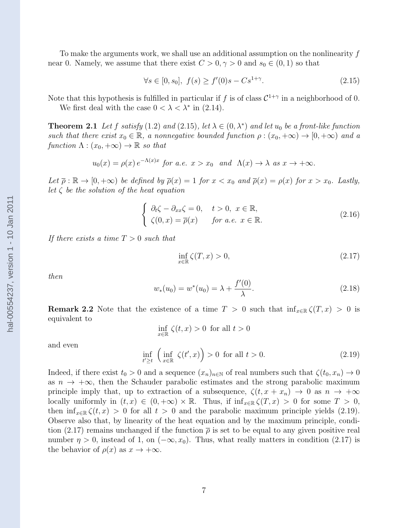To make the arguments work, we shall use an additional assumption on the nonlinearity  $f$ near 0. Namely, we assume that there exist  $C > 0, \gamma > 0$  and  $s_0 \in (0, 1)$  so that

$$
\forall s \in [0, s_0], \ f(s) \ge f'(0)s - Cs^{1+\gamma}.
$$
 (2.15)

Note that this hypothesis is fulfilled in particular if f is of class  $\mathcal{C}^{1+\gamma}$  in a neighborhood of 0.

We first deal with the case  $0 < \lambda < \lambda^*$  in (2.14).

**Theorem 2.1** Let f satisfy (1.2) and (2.15), let  $\lambda \in (0, \lambda^*)$  and let  $u_0$  be a front-like function such that there exist  $x_0 \in \mathbb{R}$ , a nonnegative bounded function  $\rho : (x_0, +\infty) \to [0, +\infty)$  and a function  $\Lambda : (x_0, +\infty) \to \mathbb{R}$  so that

$$
u_0(x) = \rho(x) e^{-\Lambda(x)x}
$$
 for a.e.  $x > x_0$  and  $\Lambda(x) \to \lambda$  as  $x \to +\infty$ .

Let  $\overline{\rho}: \mathbb{R} \to [0, +\infty)$  be defined by  $\overline{\rho}(x) = 1$  for  $x < x_0$  and  $\overline{\rho}(x) = \rho(x)$  for  $x > x_0$ . Lastly, let  $\zeta$  be the solution of the heat equation

$$
\begin{cases}\n\partial_t \zeta - \partial_{xx} \zeta = 0, & t > 0, \ x \in \mathbb{R}, \\
\zeta(0, x) = \overline{\rho}(x) & \text{for a.e. } x \in \mathbb{R}.\n\end{cases}
$$
\n(2.16)

If there exists a time  $T > 0$  such that

$$
\inf_{x \in \mathbb{R}} \zeta(T, x) > 0,\tag{2.17}
$$

then

$$
w_*(u_0) = w^*(u_0) = \lambda + \frac{f'(0)}{\lambda}.
$$
\n(2.18)

**Remark 2.2** Note that the existence of a time  $T > 0$  such that  $\inf_{x \in \mathbb{R}} \zeta(T, x) > 0$  is equivalent to

$$
\inf_{x \in \mathbb{R}} \zeta(t, x) > 0 \text{ for all } t > 0
$$

and even

$$
\inf_{t' \ge t} \left( \inf_{x \in \mathbb{R}} \zeta(t', x) \right) > 0 \text{ for all } t > 0. \tag{2.19}
$$

Indeed, if there exist  $t_0 > 0$  and a sequence  $(x_n)_{n \in \mathbb{N}}$  of real numbers such that  $\zeta(t_0, x_n) \to 0$ as  $n \to +\infty$ , then the Schauder parabolic estimates and the strong parabolic maximum principle imply that, up to extraction of a subsequence,  $\zeta(t, x + x_n) \to 0$  as  $n \to +\infty$ locally uniformly in  $(t, x) \in (0, +\infty) \times \mathbb{R}$ . Thus, if  $\inf_{x \in \mathbb{R}} \zeta(T, x) > 0$  for some  $T > 0$ , then  $\inf_{x \in \mathbb{R}} \zeta(t, x) > 0$  for all  $t > 0$  and the parabolic maximum principle yields (2.19). Observe also that, by linearity of the heat equation and by the maximum principle, condition (2.17) remains unchanged if the function  $\bar{\rho}$  is set to be equal to any given positive real number  $\eta > 0$ , instead of 1, on  $(-\infty, x_0)$ . Thus, what really matters in condition (2.17) is the behavior of  $\rho(x)$  as  $x \to +\infty$ .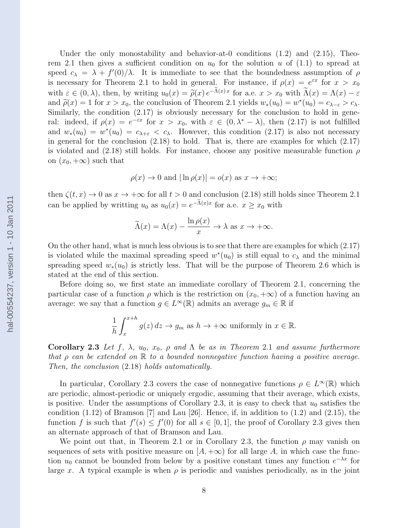Under the only monostability and behavior-at-0 conditions  $(1.2)$  and  $(2.15)$ , Theorem 2.1 then gives a sufficient condition on  $u_0$  for the solution u of (1.1) to spread at speed  $c_{\lambda} = \lambda + f'(0)/\lambda$ . It is immediate to see that the boundedness assumption of  $\rho$ is necessary for Theorem 2.1 to hold in general. For instance, if  $\rho(x) = e^{\varepsilon x}$  for  $x > x_0$ with  $\varepsilon \in (0, \lambda)$ , then, by writing  $u_0(x) = \tilde{\rho}(x) e^{-\Lambda(x)x}$  for a.e.  $x > x_0$  with  $\tilde{\Lambda}(x) = \Lambda(x) - \varepsilon$ <br>and  $\tilde{\rho}(x) = 1$  for  $x > x_0$ , the conclusion of Theorem 2.1 yields  $w_0(x_0) = w^*(u_0) = c_0$ . and  $\tilde{\rho}(x) = 1$  for  $x > x_0$ , the conclusion of Theorem 2.1 yields  $w_*(u_0) = w^*(u_0) = c_{\lambda-\varepsilon} > c_{\lambda}$ .<br>Similarly the condition (2.17) is obviously percessive for the conclusion to hold in some Similarly, the condition (2.17) is obviously necessary for the conclusion to hold in general: indeed, if  $\rho(x) = e^{-\varepsilon x}$  for  $x > x_0$ , with  $\varepsilon \in (0, \lambda^* - \lambda)$ , then  $(2.17)$  is not fulfilled and  $w_*(u_0) = w^*(u_0) = c_{\lambda+\varepsilon} < c_{\lambda}$ . However, this condition (2.17) is also not necessary in general for the conclusion (2.18) to hold. That is, there are examples for which (2.17) is violated and (2.18) still holds. For instance, choose any positive measurable function  $\rho$ on  $(x_0, +\infty)$  such that

$$
\rho(x) \to 0
$$
 and  $|\ln \rho(x)| = o(x)$  as  $x \to +\infty$ ;

then  $\zeta(t, x) \to 0$  as  $x \to +\infty$  for all  $t > 0$  and conclusion (2.18) still holds since Theorem 2.1 can be applied by writting  $u_0$  as  $u_0(x) = e^{-\Lambda(x)x}$  for a.e.  $x \ge x_0$  with

$$
\widetilde{\Lambda}(x) = \Lambda(x) - \frac{\ln \rho(x)}{x} \to \lambda \text{ as } x \to +\infty.
$$

On the other hand, what is much less obvious is to see that there are examples for which (2.17) is violated while the maximal spreading speed  $w^*(u_0)$  is still equal to  $c_\lambda$  and the minimal spreading speed  $w_*(u_0)$  is strictly less. That will be the purpose of Theorem 2.6 which is stated at the end of this section.

Before doing so, we first state an immediate corollary of Theorem 2.1, concerning the particular case of a function  $\rho$  which is the restriction on  $(x_0, +\infty)$  of a function having an average: we say that a function  $g \in L^{\infty}(\mathbb{R})$  admits an average  $g_m \in \mathbb{R}$  if

$$
\frac{1}{h} \int_{x}^{x+h} g(z) dz \to g_m \text{ as } h \to +\infty \text{ uniformly in } x \in \mathbb{R}.
$$

Corollary 2.3 Let f,  $\lambda$ ,  $u_0$ ,  $x_0$ ,  $\rho$  and  $\Lambda$  be as in Theorem 2.1 and assume furthermore that  $\rho$  can be extended on  $\mathbb R$  to a bounded nonnegative function having a positive average. Then, the conclusion (2.18) holds automatically.

In particular, Corollary 2.3 covers the case of nonnegative functions  $\rho \in L^{\infty}(\mathbb{R})$  which are periodic, almost-periodic or uniquely ergodic, assuming that their average, which exists, is positive. Under the assumptions of Corollary 2.3, it is easy to check that  $u_0$  satisfies the condition  $(1.12)$  of Bramson [7] and Lau [26]. Hence, if, in addition to  $(1.2)$  and  $(2.15)$ , the function f is such that  $f'(s) \leq f'(0)$  for all  $s \in [0,1]$ , the proof of Corollary 2.3 gives then an alternate approach of that of Bramson and Lau.

We point out that, in Theorem 2.1 or in Corollary 2.3, the function  $\rho$  may vanish on sequences of sets with positive measure on  $[A, +\infty)$  for all large A, in which case the function  $u_0$  cannot be bounded from below by a positive constant times any function  $e^{-\lambda x}$  for large x. A typical example is when  $\rho$  is periodic and vanishes periodically, as in the joint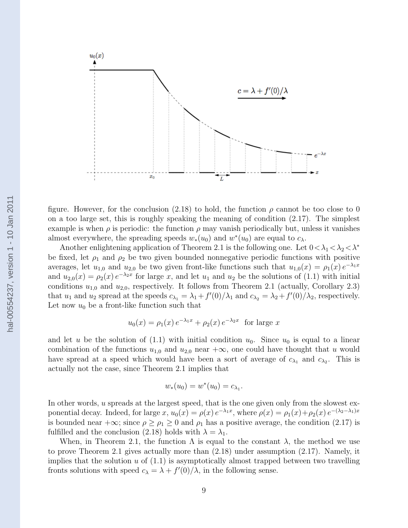

figure. However, for the conclusion (2.18) to hold, the function  $\rho$  cannot be too close to 0 on a too large set, this is roughly speaking the meaning of condition (2.17). The simplest example is when  $\rho$  is periodic: the function  $\rho$  may vanish periodically but, unless it vanishes almost everywhere, the spreading speeds  $w_*(u_0)$  and  $w^*(u_0)$  are equal to  $c_\lambda$ .

Another enlightening application of Theorem 2.1 is the following one. Let  $0<\lambda_1<\lambda_2<\lambda^*$ be fixed, let  $\rho_1$  and  $\rho_2$  be two given bounded nonnegative periodic functions with positive averages, let  $u_{1,0}$  and  $u_{2,0}$  be two given front-like functions such that  $u_{1,0}(x) = \rho_1(x) e^{-\lambda_1 x}$ and  $u_{2,0}(x) = \rho_2(x) e^{-\lambda_2 x}$  for large x, and let  $u_1$  and  $u_2$  be the solutions of (1.1) with initial conditions  $u_{1,0}$  and  $u_{2,0}$ , respectively. It follows from Theorem 2.1 (actually, Corollary 2.3) that  $u_1$  and  $u_2$  spread at the speeds  $c_{\lambda_1} = \lambda_1 + f'(0)/\lambda_1$  and  $c_{\lambda_2} = \lambda_2 + f'(0)/\lambda_2$ , respectively. Let now  $u_0$  be a front-like function such that

$$
u_0(x) = \rho_1(x) e^{-\lambda_1 x} + \rho_2(x) e^{-\lambda_2 x}
$$
 for large x

and let u be the solution of  $(1.1)$  with initial condition  $u_0$ . Since  $u_0$  is equal to a linear combination of the functions  $u_{1,0}$  and  $u_{2,0}$  near  $+\infty$ , one could have thought that u would have spread at a speed which would have been a sort of average of  $c_{\lambda_1}$  and  $c_{\lambda_2}$ . This is actually not the case, since Theorem 2.1 implies that

$$
w_*(u_0) = w^*(u_0) = c_{\lambda_1}.
$$

In other words, u spreads at the largest speed, that is the one given only from the slowest exponential decay. Indeed, for large  $x, u_0(x) = \rho(x) e^{-\lambda_1 x}$ , where  $\rho(x) = \rho_1(x) + \rho_2(x) e^{-(\lambda_2 - \lambda_1)x}$ is bounded near  $+\infty$ ; since  $\rho \ge \rho_1 \ge 0$  and  $\rho_1$  has a positive average, the condition (2.17) is fulfilled and the conclusion (2.18) holds with  $\lambda = \lambda_1$ .

When, in Theorem 2.1, the function  $\Lambda$  is equal to the constant  $\lambda$ , the method we use to prove Theorem 2.1 gives actually more than (2.18) under assumption (2.17). Namely, it implies that the solution  $u$  of  $(1.1)$  is asymptotically almost trapped between two travelling fronts solutions with speed  $c_{\lambda} = \lambda + f'(0)/\lambda$ , in the following sense.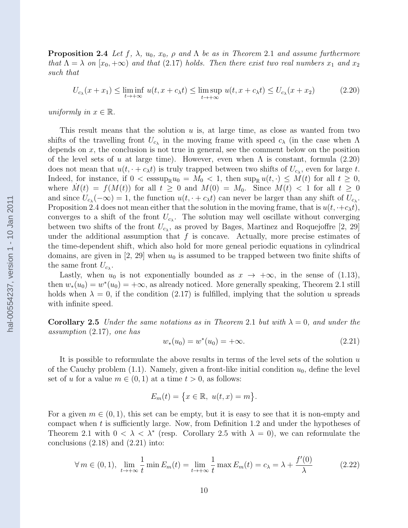**Proposition 2.4** Let f,  $\lambda$ ,  $u_0$ ,  $x_0$ ,  $\rho$  and  $\Lambda$  be as in Theorem 2.1 and assume furthermore that  $\Lambda = \lambda$  on  $[x_0, +\infty)$  and that (2.17) holds. Then there exist two real numbers  $x_1$  and  $x_2$ such that

$$
U_{c_{\lambda}}(x+x_1) \le \liminf_{t \to +\infty} u(t, x+c_{\lambda}t) \le \limsup_{t \to +\infty} u(t, x+c_{\lambda}t) \le U_{c_{\lambda}}(x+x_2)
$$
 (2.20)

uniformly in  $x \in \mathbb{R}$ .

This result means that the solution u is, at large time, as close as wanted from two shifts of the travelling front  $U_{c_{\lambda}}$  in the moving frame with speed  $c_{\lambda}$  (in the case when  $\Lambda$ depends on  $x$ , the conclusion is not true in general, see the comment below on the position of the level sets of u at large time). However, even when  $\Lambda$  is constant, formula (2.20) does not mean that  $u(t, \cdot + c_{\lambda}t)$  is truly trapped between two shifts of  $U_{c_{\lambda}}$ , even for large t. Indeed, for instance, if  $0 < \text{esssup}_{\mathbb{R}} u_0 = M_0 < 1$ , then  $\text{sup}_{\mathbb{R}} u(t, \cdot) \leq M(t)$  for all  $t \geq 0$ , where  $M(t) = f(M(t))$  for all  $t \geq 0$  and  $M(0) = M_0$ . Since  $M(t) < 1$  for all  $t \geq 0$ and since  $U_{c_{\lambda}}(-\infty) = 1$ , the function  $u(t, \cdot + c_{\lambda}t)$  can never be larger than any shift of  $U_{c_{\lambda}}$ . Proposition 2.4 does not mean either that the solution in the moving frame, that is  $u(t, \cdot+c_{\lambda}t)$ , converges to a shift of the front  $U_{c_{\lambda}}$ . The solution may well oscillate without converging between two shifts of the front  $U_{c_{\lambda}}$ , as proved by Bages, Martinez and Roquejoffre [2, 29] under the additional assumption that  $f$  is concave. Actually, more precise estimates of the time-dependent shift, which also hold for more geneal periodic equations in cylindrical domains, are given in  $[2, 29]$  when  $u_0$  is assumed to be trapped between two finite shifts of the same front  $U_{c_{\lambda}}$ .

Lastly, when  $u_0$  is not exponentially bounded as  $x \to +\infty$ , in the sense of (1.13), then  $w_*(u_0) = w^*(u_0) = +\infty$ , as already noticed. More generally speaking, Theorem 2.1 still holds when  $\lambda = 0$ , if the condition (2.17) is fulfilled, implying that the solution u spreads with infinite speed.

**Corollary 2.5** Under the same notations as in Theorem 2.1 but with  $\lambda = 0$ , and under the assumption (2.17), one has

$$
w_*(u_0) = w^*(u_0) = +\infty.
$$
\n(2.21)

It is possible to reformulate the above results in terms of the level sets of the solution  $u$ of the Cauchy problem  $(1.1)$ . Namely, given a front-like initial condition  $u_0$ , define the level set of u for a value  $m \in (0, 1)$  at a time  $t > 0$ , as follows:

$$
E_m(t) = \{x \in \mathbb{R}, \ u(t,x) = m\}.
$$

For a given  $m \in (0, 1)$ , this set can be empty, but it is easy to see that it is non-empty and compact when t is sufficiently large. Now, from Definition 1.2 and under the hypotheses of Theorem 2.1 with  $0 < \lambda < \lambda^*$  (resp. Corollary 2.5 with  $\lambda = 0$ ), we can reformulate the conclusions  $(2.18)$  and  $(2.21)$  into:

$$
\forall m \in (0,1), \lim_{t \to +\infty} \frac{1}{t} \min E_m(t) = \lim_{t \to +\infty} \frac{1}{t} \max E_m(t) = c_\lambda = \lambda + \frac{f'(0)}{\lambda}
$$
 (2.22)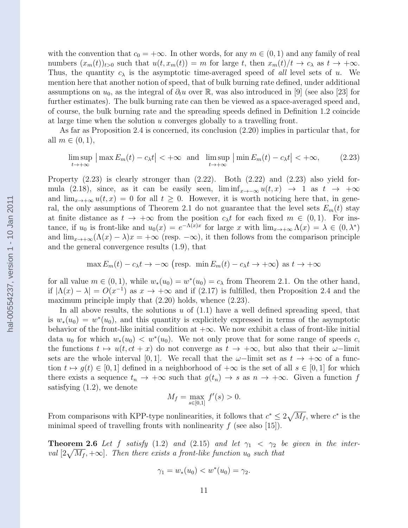with the convention that  $c_0 = +\infty$ . In other words, for any  $m \in (0,1)$  and any family of real numbers  $(x_m(t))_{t>0}$  such that  $u(t, x_m(t)) = m$  for large t, then  $x_m(t)/t \to c_\lambda$  as  $t \to +\infty$ . Thus, the quantity  $c_{\lambda}$  is the asymptotic time-averaged speed of all level sets of u. We mention here that another notion of speed, that of bulk burning rate defined, under additional assumptions on  $u_0$ , as the integral of  $\partial_t u$  over R, was also introduced in [9] (see also [23] for further estimates). The bulk burning rate can then be viewed as a space-averaged speed and, of course, the bulk burning rate and the spreading speeds defined in Definition 1.2 coincide at large time when the solution u converges globally to a travelling front.

As far as Proposition 2.4 is concerned, its conclusion (2.20) implies in particular that, for all  $m \in (0,1)$ ,

$$
\limsup_{t \to +\infty} \left| \max E_m(t) - c_{\lambda} t \right| < +\infty \text{ and } \limsup_{t \to +\infty} \left| \min E_m(t) - c_{\lambda} t \right| < +\infty, \tag{2.23}
$$

Property  $(2.23)$  is clearly stronger than  $(2.22)$ . Both  $(2.22)$  and  $(2.23)$  also yield formula (2.18), since, as it can be easily seen,  $\liminf_{x\to-\infty} u(t,x) \to 1$  as  $t \to +\infty$ and  $\lim_{x\to+\infty}u(t,x)=0$  for all  $t\geq0$ . However, it is worth noticing here that, in general, the only assumptions of Theorem 2.1 do not guarantee that the level sets  $E_m(t)$  stay at finite distance as  $t \to +\infty$  from the position  $c_{\lambda}t$  for each fixed  $m \in (0,1)$ . For instance, if  $u_0$  is front-like and  $u_0(x) = e^{-\Lambda(x)x}$  for large x with  $\lim_{x\to+\infty}\Lambda(x) = \lambda \in (0,\lambda^*)$ and  $\lim_{x\to+\infty}(\Lambda(x)-\lambda)x=+\infty$  (resp.  $-\infty$ ), it then follows from the comparison principle and the general convergence results (1.9), that

$$
\max E_m(t) - c_{\lambda}t \to -\infty \text{ (resp. } \min E_m(t) - c_{\lambda}t \to +\infty \text{) as } t \to +\infty
$$

for all value  $m \in (0, 1)$ , while  $w_*(u_0) = w^*(u_0) = c_\lambda$  from Theorem 2.1. On the other hand, if  $|\Lambda(x) - \lambda| = O(x^{-1})$  as  $x \to +\infty$  and if (2.17) is fulfilled, then Proposition 2.4 and the maximum principle imply that  $(2.20)$  holds, whence  $(2.23)$ .

In all above results, the solutions  $u$  of  $(1.1)$  have a well defined spreading speed, that is  $w_*(u_0) = w^*(u_0)$ , and this quantity is explicitely expressed in terms of the asymptotic behavior of the front-like initial condition at  $+\infty$ . We now exhibit a class of front-like initial data  $u_0$  for which  $w_*(u_0) < w^*(u_0)$ . We not only prove that for some range of speeds c, the functions  $t \mapsto u(t, ct + x)$  do not converge as  $t \to +\infty$ , but also that their  $\omega$ –limit sets are the whole interval [0, 1]. We recall that the  $\omega$ -limit set as  $t \to +\infty$  of a function  $t \mapsto g(t) \in [0, 1]$  defined in a neighborhood of  $+\infty$  is the set of all  $s \in [0, 1]$  for which there exists a sequence  $t_n \to +\infty$  such that  $g(t_n) \to s$  as  $n \to +\infty$ . Given a function f satisfying (1.2), we denote

$$
M_f = \max_{s \in [0,1]} f'(s) > 0.
$$

From comparisons with KPP-type nonlinearities, it follows that  $c^* \leq 2\sqrt{M_f}$ , where  $c^*$  is the minimal speed of travelling fronts with nonlinearity  $f$  (see also [15]).

**Theorem 2.6** Let f satisfy (1.2) and (2.15) and let  $\gamma_1 < \gamma_2$  be given in the interval  $[2\sqrt{M_f}, +\infty]$ . Then there exists a front-like function  $u_0$  such that

$$
\gamma_1 = w_*(u_0) < w^*(u_0) = \gamma_2.
$$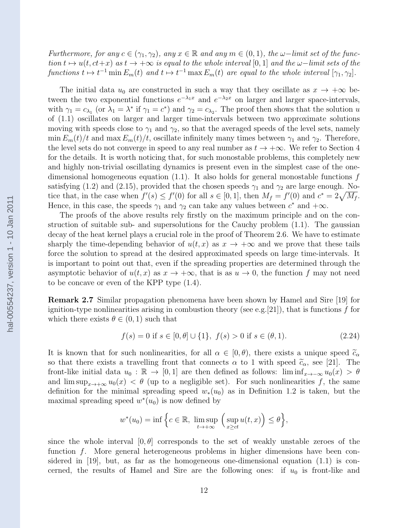Furthermore, for any  $c \in (\gamma_1, \gamma_2)$ , any  $x \in \mathbb{R}$  and any  $m \in (0, 1)$ , the  $\omega$ -limit set of the function  $t \mapsto u(t, ct+x)$  as  $t \to +\infty$  is equal to the whole interval [0, 1] and the  $\omega$ –limit sets of the functions  $t \mapsto t^{-1} \min E_m(t)$  and  $t \mapsto t^{-1} \max E_m(t)$  are equal to the whole interval  $[\gamma_1, \gamma_2]$ .

The initial data  $u_0$  are constructed in such a way that they oscillate as  $x \to +\infty$  between the two exponential functions  $e^{-\lambda_1 x}$  and  $e^{-\lambda_2 x}$  on larger and larger space-intervals, with  $\gamma_1 = c_{\lambda_1}$  (or  $\lambda_1 = \lambda^*$  if  $\gamma_1 = c^*$ ) and  $\gamma_2 = c_{\lambda_2}$ . The proof then shows that the solution u of (1.1) oscillates on larger and larger time-intervals between two approximate solutions moving with speeds close to  $\gamma_1$  and  $\gamma_2$ , so that the averaged speeds of the level sets, namely min  $E_m(t)/t$  and max  $E_m(t)/t$ , oscillate infinitely many times between  $\gamma_1$  and  $\gamma_2$ . Therefore, the level sets do not converge in speed to any real number as  $t \to +\infty$ . We refer to Section 4 for the details. It is worth noticing that, for such monostable problems, this completely new and highly non-trivial oscillating dynamics is present even in the simplest case of the onedimensional homogeneous equation  $(1.1)$ . It also holds for general monostable functions f satisfying (1.2) and (2.15), provided that the chosen speeds  $\gamma_1$  and  $\gamma_2$  are large enough. Notice that, in the case when  $f'(s) \le f'(0)$  for all  $s \in [0,1]$ , then  $M_f = f'(0)$  and  $c^* = 2\sqrt{M_f}$ . Hence, in this case, the speeds  $\gamma_1$  and  $\gamma_2$  can take any values between  $c^*$  and  $+\infty$ .

The proofs of the above results rely firstly on the maximum principle and on the construction of suitable sub- and supersolutions for the Cauchy problem (1.1). The gaussian decay of the heat kernel plays a crucial role in the proof of Theorem 2.6. We have to estimate sharply the time-depending behavior of  $u(t, x)$  as  $x \to +\infty$  and we prove that these tails force the solution to spread at the desired approximated speeds on large time-intervals. It is important to point out that, even if the spreading properties are determined through the asymptotic behavior of  $u(t, x)$  as  $x \to +\infty$ , that is as  $u \to 0$ , the function f may not need to be concave or even of the KPP type (1.4).

Remark 2.7 Similar propagation phenomena have been shown by Hamel and Sire [19] for ignition-type nonlinearities arising in combustion theory (see e.g. [21]), that is functions  $f$  for which there exists  $\theta \in (0, 1)$  such that

$$
f(s) = 0 \text{ if } s \in [0, \theta] \cup \{1\}, \ f(s) > 0 \text{ if } s \in (\theta, 1). \tag{2.24}
$$

It is known that for such nonlinearities, for all  $\alpha \in [0, \theta)$ , there exists a unique speed  $\tilde{c}_{\alpha}$ so that there exists a travelling front that connects  $\alpha$  to 1 with speed  $\tilde{c}_{\alpha}$ , see [21]. The front-like initial data  $u_0 : \mathbb{R} \to [0,1]$  are then defined as follows: lim  $\inf_{x\to-\infty} u_0(x) > \theta$ and  $\limsup_{x\to+\infty}u_0(x) < \theta$  (up to a negligible set). For such nonlinearities f, the same definition for the minimal spreading speed  $w_*(u_0)$  as in Definition 1.2 is taken, but the maximal spreading speed  $w^*(u_0)$  is now defined by

$$
w^*(u_0) = \inf \Big\{ c \in \mathbb{R}, \limsup_{t \to +\infty} \Big( \sup_{x \ge ct} u(t,x) \Big) \le \theta \Big\},\
$$

since the whole interval  $[0, \theta]$  corresponds to the set of weakly unstable zeroes of the function f. More general heterogeneous problems in higher dimensions have been considered in [19], but, as far as the homogeneous one-dimensional equation (1.1) is concerned, the results of Hamel and Sire are the following ones: if  $u_0$  is front-like and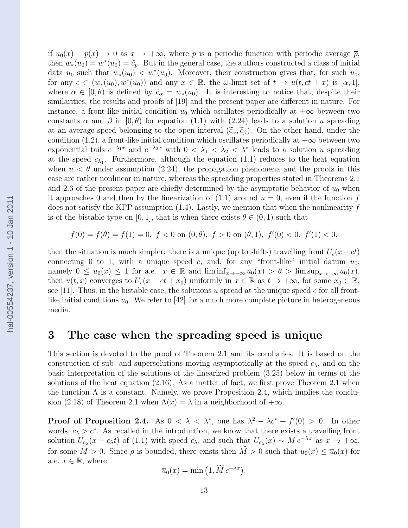if  $u_0(x) - p(x) \to 0$  as  $x \to +\infty$ , where p is a periodic function with periodic average  $\bar{p}$ , then  $w_*(u_0) = w^*(u_0) = \tilde{c}_{\overline{p}}$ . But in the general case, the authors constructed a class of initial data  $u_*(u_0)$  is  $\tilde{c}_{\overline{p}}$ . Moreover, their construction gives that, for such  $u_0$ data  $u_0$  such that  $w_*(u_0) < w^*(u_0)$ . Moreover, their construction gives that, for such  $u_0$ , for any  $c \in (w_*(u_0), w^*(u_0))$  and any  $x \in \mathbb{R}$ , the  $\omega$ -limit set of  $t \mapsto u(t, ct + x)$  is  $[\alpha, 1]$ , where  $\alpha \in [0, \theta)$  is defined by  $\tilde{c}_{\alpha} = w_*(u_0)$ . It is interesting to notice that, despite their similarities, the results and proofs of [19] and the present paper are different in nature. For instance, a front-like initial condition  $u_0$  which oscillates periodically at  $+\infty$  between two constants  $\alpha$  and  $\beta$  in  $[0, \theta)$  for equation (1.1) with (2.24) leads to a solution u spreading at an average speed belonging to the open interval  $(\tilde{c}_{\alpha}, \tilde{c}_{\beta})$ . On the other hand, under the condition (1.2), a front-like initial condition which oscillates periodically at  $+\infty$  between two exponential tails  $e^{-\lambda_1 x}$  and  $e^{-\lambda_2 x}$  with  $0 < \lambda_1 < \lambda_2 < \lambda^*$  leads to a solution u spreading at the speed  $c_{\lambda_1}$ . Furthermore, although the equation (1.1) reduces to the heat equation when  $u < \theta$  under assumption (2.24), the propagation phenomena and the proofs in this case are rather nonlinear in nature, whereas the spreading properties stated in Theorems 2.1 and 2.6 of the present paper are chiefly determined by the asymptotic behavior of  $u_0$  when it approaches 0 and then by the linearization of  $(1.1)$  around  $u = 0$ , even if the function f does not satisfy the KPP assumption  $(1.4)$ . Lastly, we mention that when the nonlinearity f is of the bistable type on [0, 1], that is when there exists  $\theta \in (0, 1)$  such that  $f(0) = f(\theta) = f(1) = 0, \ f < 0 \text{ on } (0, \theta), \ f > 0 \text{ on } (\theta, 1), \ f'(0) < 0, \ f'(1) < 0,$ 

then the situation is much simpler: there is a unique (up to shifts) travelling front  $U_c(x-ct)$ connecting 0 to 1, with a unique speed c, and, for any "front-like" initial datum  $u_0$ , namely  $0 \le u_0(x) \le 1$  for a.e.  $x \in \mathbb{R}$  and  $\liminf_{x \to -\infty} u_0(x) > \theta > \limsup_{x \to +\infty} u_0(x)$ , then  $u(t, x)$  converges to  $U_c(x - ct + x_0)$  uniformly in  $x \in \mathbb{R}$  as  $t \to +\infty$ , for some  $x_0 \in \mathbb{R}$ , see [11]. Thus, in the bistable case, the solutions u spread at the unique speed c for all frontlike initial conditions  $u_0$ . We refer to [42] for a much more complete picture in heterogeneous media.

### 3 The case when the spreading speed is unique

This section is devoted to the proof of Theorem 2.1 and its corollaries. It is based on the construction of sub- and supersolutions moving asymptotically at the speed  $c_{\lambda}$ , and on the basic interpretation of the solutions of the linearized problem (3.25) below in terms of the solutions of the heat equation (2.16). As a matter of fact, we first prove Theorem 2.1 when the function  $\Lambda$  is a constant. Namely, we prove Proposition 2.4, which implies the conclusion (2.18) of Theorem 2.1 when  $\Lambda(x) = \lambda$  in a neighborhood of  $+\infty$ .

**Proof of Proposition 2.4.** As  $0 < \lambda < \lambda^*$ , one has  $\lambda^2 - \lambda c^* + f'(0) > 0$ . In other words,  $c_{\lambda} > c^*$ . As recalled in the introduction, we know that there exists a travelling front solution  $U_{c_{\lambda}}(x-c_{\lambda}t)$  of (1.1) with speed  $c_{\lambda}$ , and such that  $U_{c_{\lambda}}(x) \sim M e^{-\lambda x}$  as  $x \to +\infty$ , for some  $M > 0$ . Since  $\rho$  is bounded, there exists then  $\widetilde{M} > 0$  such that  $u_0(x) \le \overline{u}_0(x)$  for a.e.  $x \in \mathbb{R}$ , where

$$
\overline{u}_0(x) = \min\left(1, \widetilde{M} e^{-\lambda x}\right).
$$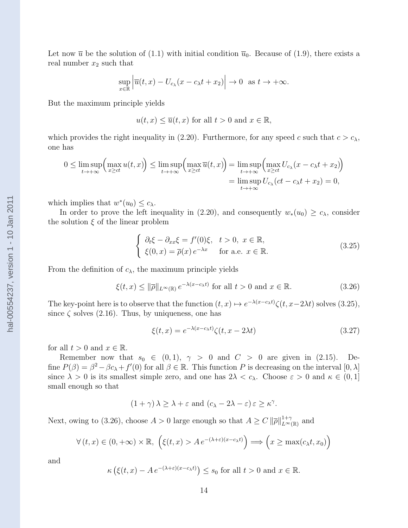Let now  $\bar{u}$  be the solution of (1.1) with initial condition  $\bar{u}_0$ . Because of (1.9), there exists a real number  $x_2$  such that

$$
\sup_{x \in \mathbb{R}} \left| \overline{u}(t, x) - U_{c_{\lambda}}(x - c_{\lambda}t + x_2) \right| \to 0 \text{ as } t \to +\infty.
$$

But the maximum principle yields

$$
u(t, x) \leq \overline{u}(t, x)
$$
 for all  $t > 0$  and  $x \in \mathbb{R}$ ,

which provides the right inequality in (2.20). Furthermore, for any speed c such that  $c > c_{\lambda}$ , one has

$$
0 \leq \limsup_{t \to +\infty} \left( \max_{x \geq ct} u(t, x) \right) \leq \limsup_{t \to +\infty} \left( \max_{x \geq ct} \overline{u}(t, x) \right) = \limsup_{t \to +\infty} \left( \max_{x \geq ct} U_{c_{\lambda}} (x - c_{\lambda} t + x_2) \right)
$$

$$
= \limsup_{t \to +\infty} U_{c_{\lambda}} (ct - c_{\lambda} t + x_2) = 0,
$$

which implies that  $w^*(u_0) \leq c_{\lambda}$ .

In order to prove the left inequality in (2.20), and consequently  $w_*(u_0) \ge c_\lambda$ , consider the solution  $\xi$  of the linear problem

$$
\begin{cases}\n\partial_t \xi - \partial_{xx} \xi = f'(0)\xi, & t > 0, \ x \in \mathbb{R}, \\
\xi(0, x) = \overline{\rho}(x) e^{-\lambda x} & \text{for a.e. } x \in \mathbb{R}.\n\end{cases}
$$
\n(3.25)

From the definition of  $c_{\lambda}$ , the maximum principle yields

$$
\xi(t,x) \le \|\overline{\rho}\|_{L^{\infty}(\mathbb{R})} e^{-\lambda(x-c_{\lambda}t)} \text{ for all } t > 0 \text{ and } x \in \mathbb{R}.
$$
 (3.26)

The key-point here is to observe that the function  $(t, x) \mapsto e^{-\lambda(x-c_{\lambda}t)} \zeta(t, x-2\lambda t)$  solves (3.25), since  $\zeta$  solves (2.16). Thus, by uniqueness, one has

$$
\xi(t,x) = e^{-\lambda(x - c_{\lambda}t)}\zeta(t,x - 2\lambda t)
$$
\n(3.27)

for all  $t > 0$  and  $x \in \mathbb{R}$ .

Remember now that  $s_0 \in (0,1)$ ,  $\gamma > 0$  and  $C > 0$  are given in (2.15). Define  $P(\beta) = \beta^2 - \beta c_\lambda + f'(0)$  for all  $\beta \in \mathbb{R}$ . This function P is decreasing on the interval  $[0, \lambda]$ since  $\lambda > 0$  is its smallest simple zero, and one has  $2\lambda < c_{\lambda}$ . Choose  $\varepsilon > 0$  and  $\kappa \in (0, 1]$ small enough so that

$$
(1+\gamma)\lambda \geq \lambda + \varepsilon \text{ and } (c_{\lambda} - 2\lambda - \varepsilon) \varepsilon \geq \kappa^{\gamma}.
$$

Next, owing to (3.26), choose  $A > 0$  large enough so that  $A \geq C ||\overline{\rho}||_{L^{\infty}(\mathbb{R})}^{1+\gamma}$  and

$$
\forall (t, x) \in (0, +\infty) \times \mathbb{R}, \ \left(\xi(t, x) > A \, e^{-(\lambda + \varepsilon)(x - c_{\lambda} t)}\right) \Longrightarrow \left(x \ge \max(c_{\lambda} t, x_0)\right)
$$

and

$$
\kappa \left( \xi(t, x) - A e^{-(\lambda + \varepsilon)(x - c_{\lambda} t)} \right) \le s_0
$$
 for all  $t > 0$  and  $x \in \mathbb{R}$ .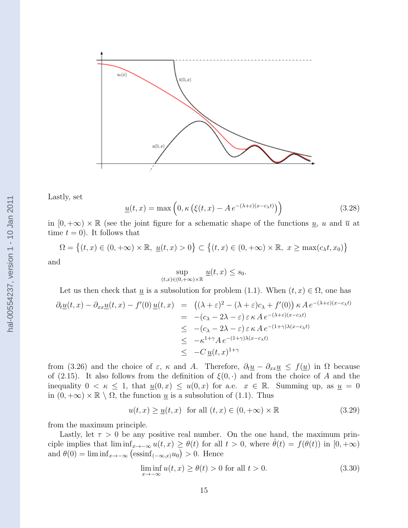

Lastly, set

$$
\underline{u}(t,x) = \max\left(0, \kappa\left(\xi(t,x) - Ae^{-(\lambda+\varepsilon)(x-c_{\lambda}t)}\right)\right) \tag{3.28}
$$

in  $[0, +\infty) \times \mathbb{R}$  (see the joint figure for a schematic shape of the functions  $\underline{u}$ , u and  $\overline{u}$  at time  $t = 0$ . It follows that

$$
\Omega = \left\{ (t, x) \in (0, +\infty) \times \mathbb{R}, \underline{u}(t, x) > 0 \right\} \subset \left\{ (t, x) \in (0, +\infty) \times \mathbb{R}, x \ge \max(c_{\lambda}t, x_0) \right\}
$$

and

$$
\sup_{(t,x)\in(0,+\infty)\times\mathbb{R}}\underline{u}(t,x)\leq s_0.
$$

Let us then check that u is a subsolution for problem (1.1). When 
$$
(t, x) \in \Omega
$$
, one has  
\n
$$
\partial_t \underline{u}(t, x) - \partial_{xx} \underline{u}(t, x) - f'(0) \underline{u}(t, x) = ((\lambda + \varepsilon)^2 - (\lambda + \varepsilon)c_{\lambda} + f'(0)) \kappa A e^{-(\lambda + \varepsilon)(x - c_{\lambda}t)}
$$
\n
$$
= -(c_{\lambda} - 2\lambda - \varepsilon) \varepsilon \kappa A e^{-(\lambda + \varepsilon)(x - c_{\lambda}t)}
$$
\n
$$
\leq -(c_{\lambda} - 2\lambda - \varepsilon) \varepsilon \kappa A e^{-(1 + \gamma)\lambda(x - c_{\lambda}t)}
$$
\n
$$
\leq -\kappa^{1 + \gamma} A e^{-(1 + \gamma)\lambda(x - c_{\lambda}t)}
$$
\n
$$
\leq -C \underline{u}(t, x)^{1 + \gamma}
$$

from (3.26) and the choice of  $\varepsilon$ ,  $\kappa$  and A. Therefore,  $\partial_t \underline{u} - \partial_{xx} \underline{u} \leq f(\underline{u})$  in  $\Omega$  because of (2.15). It also follows from the definition of  $\xi(0, \cdot)$  and from the choice of A and the inequality  $0 < \kappa \leq 1$ , that  $\underline{u}(0, x) \leq u(0, x)$  for a.e.  $x \in \mathbb{R}$ . Summing up, as  $\underline{u} = 0$ in  $(0, +\infty) \times \mathbb{R} \setminus \Omega$ , the function <u>u</u> is a subsolution of (1.1). Thus

$$
u(t,x) \ge \underline{u}(t,x) \quad \text{for all } (t,x) \in (0, +\infty) \times \mathbb{R} \tag{3.29}
$$

from the maximum principle.

Lastly, let  $\tau > 0$  be any positive real number. On the one hand, the maximum principle implies that  $\liminf_{x\to-\infty} u(t,x) \geq \theta(t)$  for all  $t > 0$ , where  $\dot{\theta}(t) = f(\theta(t))$  in  $[0, +\infty)$ and  $\theta(0) = \liminf_{x \to -\infty} (\operatorname{essinf}_{(-\infty, x)} u_0) > 0$ . Hence

$$
\liminf_{x \to -\infty} u(t, x) \ge \theta(t) > 0 \text{ for all } t > 0.
$$
\n(3.30)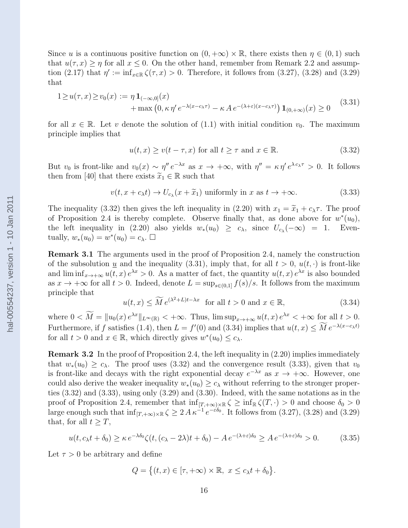Since u is a continuous positive function on  $(0, +\infty) \times \mathbb{R}$ , there exists then  $\eta \in (0, 1)$  such that  $u(\tau, x) \geq \eta$  for all  $x \leq 0$ . On the other hand, remember from Remark 2.2 and assumption (2.17) that  $\eta' := \inf_{x \in \mathbb{R}} \zeta(\tau, x) > 0$ . Therefore, it follows from (3.27), (3.28) and (3.29) that

$$
1 \ge u(\tau, x) \ge v_0(x) := \eta \mathbf{1}_{(-\infty, 0]}(x)
$$
  
+ max  $(0, \kappa \eta' e^{-\lambda(x - c_\lambda \tau)} - \kappa A e^{-(\lambda + \varepsilon)(x - c_\lambda \tau)}) \mathbf{1}_{(0, +\infty)}(x) \ge 0$  (3.31)

for all  $x \in \mathbb{R}$ . Let v denote the solution of (1.1) with initial condition  $v_0$ . The maximum principle implies that

$$
u(t, x) \ge v(t - \tau, x) \text{ for all } t \ge \tau \text{ and } x \in \mathbb{R}.
$$
 (3.32)

But  $v_0$  is front-like and  $v_0(x) \sim \eta'' e^{-\lambda x}$  as  $x \to +\infty$ , with  $\eta'' = \kappa \eta' e^{\lambda c_{\lambda} \tau} > 0$ . It follows then from [40] that there exists  $\widetilde{x}_1 \in \mathbb{R}$  such that

$$
v(t, x + c_{\lambda}t) \to U_{c_{\lambda}}(x + \tilde{x}_1) \text{ uniformly in } x \text{ as } t \to +\infty. \tag{3.33}
$$

The inequality (3.32) then gives the left inequality in (2.20) with  $x_1 = \tilde{x}_1 + c_\lambda \tau$ . The proof of Proposition 2.4 is thereby complete. Observe finally that, as done above for  $w^*(u_0)$ , the left inequality in (2.20) also yields  $w_*(u_0) \geq c_{\lambda}$ , since  $U_{c_{\lambda}}(-\infty) = 1$ . Eventually,  $w_*(u_0) = w^*(u_0) = c_\lambda$ .

Remark 3.1 The arguments used in the proof of Proposition 2.4, namely the construction of the subsolution <u>u</u> and the inequality (3.31), imply that, for all  $t > 0$ ,  $u(t, \cdot)$  is front-like and  $\liminf_{x\to+\infty} u(t,x) e^{\lambda x} > 0$ . As a matter of fact, the quantity  $u(t,x) e^{\lambda x}$  is also bounded as  $x \to +\infty$  for all  $t > 0$ . Indeed, denote  $L = \sup_{s \in (0,1]} f(s)/s$ . It follows from the maximum principle that

$$
u(t,x) \le \widetilde{M} e^{(\lambda^2 + L)t - \lambda x} \quad \text{for all } t > 0 \text{ and } x \in \mathbb{R}, \tag{3.34}
$$

where  $0 < \overline{M} = ||u_0(x) e^{\lambda x}||_{L^\infty(\mathbb{R})} < +\infty$ . Thus,  $\limsup_{x\to+\infty} u(t,x) e^{\lambda x} < +\infty$  for all  $t > 0$ . Furthermore, if f satisfies (1.4), then  $L = f'(0)$  and (3.34) implies that  $u(t, x) \leq M e^{-\lambda(x-c_{\lambda}t)}$ for all  $t > 0$  and  $x \in \mathbb{R}$ , which directly gives  $w^*(u_0) \leq c_{\lambda}$ .

Remark 3.2 In the proof of Proposition 2.4, the left inequality in (2.20) implies immediately that  $w_*(u_0) \ge c_\lambda$ . The proof uses (3.32) and the convergence result (3.33), given that  $v_0$ is front-like and decays with the right exponential decay  $e^{-\lambda x}$  as  $x \to +\infty$ . However, one could also derive the weaker inequality  $w_*(u_0) \geq c_\lambda$  without referring to the stronger properties (3.32) and (3.33), using only (3.29) and (3.30). Indeed, with the same notations as in the proof of Proposition 2.4, remember that  $\inf_{[T,+\infty)\times\mathbb{R}} \zeta \geq \inf_{\mathbb{R}} \zeta(T,\cdot) > 0$  and choose  $\delta_0 > 0$ large enough such that  $\inf_{[T,+\infty)\times\mathbb{R}} \zeta \geq 2 A \kappa^{-1} e^{-\varepsilon \delta_0}$ . It follows from (3.27), (3.28) and (3.29) that, for all  $t \geq T$ ,

$$
u(t, c_{\lambda}t + \delta_0) \ge \kappa \, e^{-\lambda \delta_0} \zeta(t, (c_{\lambda} - 2\lambda)t + \delta_0) - A \, e^{-(\lambda + \varepsilon)\delta_0} \ge A \, e^{-(\lambda + \varepsilon)\delta_0} > 0. \tag{3.35}
$$

Let  $\tau > 0$  be arbitrary and define

$$
Q = \big\{ (t,x) \in [\tau,+\infty) \times \mathbb{R}, \ x \le c_{\lambda} t + \delta_0 \big\}.
$$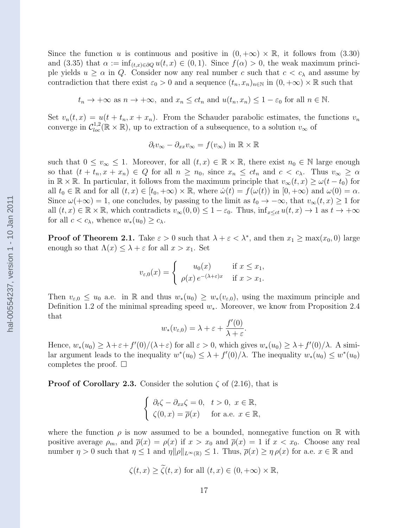Since the function u is continuous and positive in  $(0, +\infty) \times \mathbb{R}$ , it follows from  $(3.30)$ and (3.35) that  $\alpha := \inf_{(t,x)\in\partial\Omega} u(t,x) \in (0,1)$ . Since  $f(\alpha) > 0$ , the weak maximum principle yields  $u \ge \alpha$  in Q. Consider now any real number c such that  $c < c_{\lambda}$  and assume by contradiction that there exist  $\varepsilon_0 > 0$  and a sequence  $(t_n, x_n)_{n \in \mathbb{N}}$  in  $(0, +\infty) \times \mathbb{R}$  such that

 $t_n \to +\infty$  as  $n \to +\infty$ , and  $x_n \le ct_n$  and  $u(t_n, x_n) \le 1 - \varepsilon_0$  for all  $n \in \mathbb{N}$ .

Set  $v_n(t, x) = u(t + t_n, x + x_n)$ . From the Schauder parabolic estimates, the functions  $v_n$ converge in  $C_{loc}^{1,2}(\mathbb{R}\times\mathbb{R})$ , up to extraction of a subsequence, to a solution  $v_{\infty}$  of

$$
\partial_t v_{\infty} - \partial_{xx} v_{\infty} = f(v_{\infty}) \text{ in } \mathbb{R} \times \mathbb{R}
$$

such that  $0 \le v_\infty \le 1$ . Moreover, for all  $(t, x) \in \mathbb{R} \times \mathbb{R}$ , there exist  $n_0 \in \mathbb{N}$  large enough so that  $(t + t_n, x + x_n) \in Q$  for all  $n \geq n_0$ , since  $x_n \leq ct_n$  and  $c < c_\lambda$ . Thus  $v_\infty \geq \alpha$ in  $\mathbb{R} \times \mathbb{R}$ . In particular, it follows from the maximum principle that  $v_{\infty}(t, x) \geq \omega(t - t_0)$  for all  $t_0 \in \mathbb{R}$  and for all  $(t, x) \in [t_0, +\infty) \times \mathbb{R}$ , where  $\dot{\omega}(t) = f(\omega(t))$  in  $[0, +\infty)$  and  $\omega(0) = \alpha$ . Since  $\omega(+\infty) = 1$ , one concludes, by passing to the limit as  $t_0 \to -\infty$ , that  $v_\infty(t, x) \ge 1$  for all  $(t, x) \in \mathbb{R} \times \mathbb{R}$ , which contradicts  $v_{\infty}(0, 0) \leq 1 - \varepsilon_0$ . Thus,  $\inf_{x \leq ct} u(t, x) \to 1$  as  $t \to +\infty$ for all  $c < c_\lambda$ , whence  $w_*(u_0) \geq c_\lambda$ .

**Proof of Theorem 2.1.** Take  $\varepsilon > 0$  such that  $\lambda + \varepsilon < \lambda^*$ , and then  $x_1 \ge \max(x_0, 0)$  large enough so that  $\Lambda(x) \leq \lambda + \varepsilon$  for all  $x > x_1$ . Set

$$
v_{\varepsilon,0}(x) = \begin{cases} u_0(x) & \text{if } x \le x_1, \\ \rho(x) e^{-(\lambda + \varepsilon)x} & \text{if } x > x_1. \end{cases}
$$

Then  $v_{\varepsilon,0} \leq u_0$  a.e. in R and thus  $w_*(u_0) \geq w_*(v_{\varepsilon,0})$ , using the maximum principle and Definition 1.2 of the minimal spreading speed  $w_*$ . Moreover, we know from Proposition 2.4 that

$$
w_*(v_{\varepsilon,0}) = \lambda + \varepsilon + \frac{f'(0)}{\lambda + \varepsilon}.
$$

Hence,  $w_*(u_0) \geq \lambda + \varepsilon + f'(0)/(\lambda + \varepsilon)$  for all  $\varepsilon > 0$ , which gives  $w_*(u_0) \geq \lambda + f'(0)/\lambda$ . A similar argument leads to the inequality  $w^*(u_0) \leq \lambda + f'(0)/\lambda$ . The inequality  $w_*(u_0) \leq w^*(u_0)$ completes the proof.  $\square$ 

**Proof of Corollary 2.3.** Consider the solution  $\zeta$  of (2.16), that is

$$
\begin{cases} \n\partial_t \zeta - \partial_{xx} \zeta = 0, \quad t > 0, \ x \in \mathbb{R}, \\ \n\zeta(0, x) = \overline{\rho}(x) \quad \text{for a.e. } x \in \mathbb{R}, \n\end{cases}
$$

where the function  $\rho$  is now assumed to be a bounded, nonnegative function on R with positive average  $\rho_m$ , and  $\overline{\rho}(x) = \rho(x)$  if  $x > x_0$  and  $\overline{\rho}(x) = 1$  if  $x < x_0$ . Choose any real number  $\eta > 0$  such that  $\eta \leq 1$  and  $\eta \|\rho\|_{L^{\infty}(\mathbb{R})} \leq 1$ . Thus,  $\overline{\rho}(x) \geq \eta \rho(x)$  for a.e.  $x \in \mathbb{R}$  and

$$
\zeta(t,x) \ge \tilde{\zeta}(t,x) \text{ for all } (t,x) \in (0,+\infty) \times \mathbb{R},
$$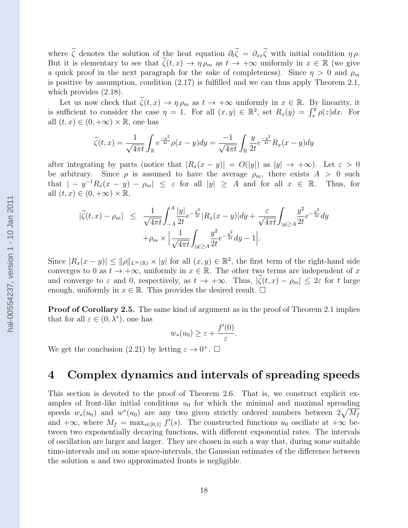where  $\tilde{\zeta}$  denotes the solution of the heat equation  $\partial_t \tilde{\zeta} = \partial_{xx} \tilde{\zeta}$  with initial condition  $\eta \rho$ . But it is elementary to see that  $\tilde{\zeta}(t,x) \to \eta \rho_m$  as  $t \to +\infty$  uniformly in  $x \in \mathbb{R}$  (we give a quick proof in the next paragraph for the sake of completeness). Since  $\eta > 0$  and  $\rho_m$ is positive by assumption, condition (2.17) is fulfilled and we can thus apply Theorem 2.1, which provides (2.18).

Let us now check that  $\tilde{\zeta}(t,x) \to \eta \rho_m$  as  $t \to +\infty$  uniformly in  $x \in \mathbb{R}$ . By linearity, it is sufficient to consider the case  $\eta = 1$ . For all  $(x, y) \in \mathbb{R}^2$ , set  $R_x(y) = \int_x^y \rho(z) dx$ . For all  $(t, x) \in (0, +\infty) \times \mathbb{R}$ , one has

$$
\widetilde{\zeta}(t,x) = \frac{1}{\sqrt{4\pi t}} \int_{\mathbb{R}} e^{\frac{-y^2}{4t}} \rho(x-y) dy = \frac{-1}{\sqrt{4\pi t}} \int_{\mathbb{R}} \frac{y}{2t} e^{\frac{-y^2}{4t}} R_x(x-y) dy
$$

after integrating by parts (notice that  $|R_x(x-y)| = O(|y|)$  as  $|y| \to +\infty$ ). Let  $\varepsilon > 0$ be arbitrary. Since  $\rho$  is assumed to have the average  $\rho_m$ , there exists  $A > 0$  such that  $|-y^{-1}R_x(x-y)-\rho_m|\leq \varepsilon$  for all  $|y|\geq A$  and for all  $x \in \mathbb{R}$ . Thus, for all  $(t, x) \in (0, +\infty) \times \mathbb{R}$ ,

$$
|\tilde{\zeta}(t,x) - \rho_m| \leq \frac{1}{\sqrt{4\pi t}} \int_{-A}^{A} \frac{|y|}{2t} e^{-\frac{y^2}{4t}} |R_x(x-y)| dy + \frac{\varepsilon}{\sqrt{4\pi t}} \int_{|y| \geq A} \frac{y^2}{2t} e^{-\frac{y^2}{4t}} dy + \rho_m \times \left| \frac{1}{\sqrt{4\pi t}} \int_{|y| \geq A} \frac{y^2}{2t} e^{-\frac{y^2}{4t}} dy - 1 \right|.
$$

Since  $|R_x(x-y)| \le ||\rho||_{L^{\infty}(\mathbb{R})} \times |y|$  for all  $(x, y) \in \mathbb{R}^2$ , the first term of the right-hand side converges to 0 as  $t \to +\infty$ , uniformly in  $x \in \mathbb{R}$ . The other two terms are independent of x and converge to  $\varepsilon$  and 0, respectively, as  $t \to +\infty$ . Thus,  $|\zeta(t,x) - \rho_m| \leq 2\varepsilon$  for t large enough, uniformly in  $x \in \mathbb{R}$ . This provides the desired result.  $\Box$ 

Proof of Corollary 2.5. The same kind of argument as in the proof of Theorem 2.1 implies that for all  $\varepsilon \in (0, \lambda^*)$ , one has

$$
w_*(u_0) \geq \varepsilon + \frac{f'(0)}{\varepsilon}.
$$

We get the conclusion (2.21) by letting  $\varepsilon \to 0^+$ .  $\Box$ 

### 4 Complex dynamics and intervals of spreading speeds

This section is devoted to the proof of Theorem 2.6. That is, we construct explicit examples of front-like initial conditions  $u_0$  for which the minimal and maximal spreading speeds  $w_*(u_0)$  and  $w^*(u_0)$  are any two given strictly ordered numbers between  $2\sqrt{M_f}$ and  $+\infty$ , where  $M_f = \max_{s \in [0,1]} f'(s)$ . The constructed functions  $u_0$  oscillate at  $+\infty$  between two exponentially decaying functions, with different exponential rates. The intervals of oscillation are larger and larger. They are chosen in such a way that, during some suitable time-intervals and on some space-intervals, the Gaussian estimates of the difference between the solution  $u$  and two approximated fronts is negligible.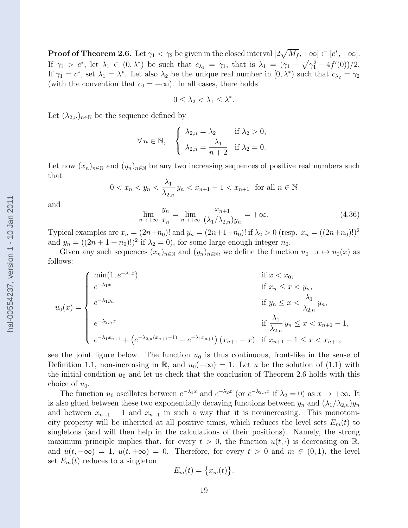**Proof of Theorem 2.6.** Let  $\gamma_1 < \gamma_2$  be given in the closed interval  $[2\sqrt{M_f}, +\infty] \subset [c^*, +\infty]$ . If  $\gamma_1 > c^*$ , let  $\lambda_1 \in (0, \lambda^*)$  be such that  $c_{\lambda_1} = \gamma_1$ , that is  $\lambda_1 = (\gamma_1 - \sqrt{\gamma_1^2 - 4f'(0)})/2$ . If  $\gamma_1 = c^*$ , set  $\lambda_1 = \lambda^*$ . Let also  $\lambda_2$  be the unique real number in  $[0, \lambda^*)$  such that  $c_{\lambda_2} = \gamma_2$ (with the convention that  $c_0 = +\infty$ ). In all cases, there holds

$$
0\leq \lambda_2<\lambda_1\leq \lambda^*.
$$

Let  $(\lambda_{2,n})_{n\in\mathbb{N}}$  be the sequence defined by

$$
\forall n \in \mathbb{N}, \quad \begin{cases} \lambda_{2,n} = \lambda_2 & \text{if } \lambda_2 > 0, \\ \lambda_{2,n} = \frac{\lambda_1}{n+2} & \text{if } \lambda_2 = 0. \end{cases}
$$

Let now  $(x_n)_{n\in\mathbb{N}}$  and  $(y_n)_{n\in\mathbb{N}}$  be any two increasing sequences of positive real numbers such that

$$
0 < x_n < y_n < \frac{\lambda_1}{\lambda_{2,n}} \, y_n < x_{n+1} - 1 < x_{n+1} \quad \text{for all } n \in \mathbb{N}
$$

and

$$
\lim_{n \to +\infty} \frac{y_n}{x_n} = \lim_{n \to +\infty} \frac{x_{n+1}}{(\lambda_1/\lambda_{2,n})y_n} = +\infty.
$$
\n(4.36)

Typical examples are  $x_n = (2n+n_0)!$  and  $y_n = (2n+1+n_0)!$  if  $\lambda_2 > 0$  (resp.  $x_n = ((2n+n_0)!)^2$ and  $y_n = ((2n + 1 + n_0)!)^2$  if  $\lambda_2 = 0$ , for some large enough integer  $n_0$ .

Given any such sequences  $(x_n)_{n\in\mathbb{N}}$  and  $(y_n)_{n\in\mathbb{N}}$ , we define the function  $u_0: x \mapsto u_0(x)$  as follows:

$$
u_0(x) = \begin{cases} \min(1, e^{-\lambda_1 x}) & \text{if } x < x_0, \\ e^{-\lambda_1 x} & \text{if } x_n \le x < y_n, \\ e^{-\lambda_1 y_n} & \text{if } y_n \le x < \frac{\lambda_1}{\lambda_{2,n}} y_n, \\ e^{-\lambda_{2,n} x} & \text{if } \frac{\lambda_1}{\lambda_{2,n}} y_n \le x < x_{n+1} - 1, \\ e^{-\lambda_1 x_{n+1}} + \left( e^{-\lambda_{2,n} (x_{n+1} - 1)} - e^{-\lambda_1 x_{n+1}} \right) (x_{n+1} - x) & \text{if } x_{n+1} - 1 \le x < x_{n+1}, \end{cases}
$$

see the joint figure below. The function  $u_0$  is thus continuous, front-like in the sense of Definition 1.1, non-increasing in R, and  $u_0(-\infty) = 1$ . Let u be the solution of (1.1) with the initial condition  $u_0$  and let us check that the conclusion of Theorem 2.6 holds with this choice of  $u_0$ .

The function  $u_0$  oscillates between  $e^{-\lambda_1 x}$  and  $e^{-\lambda_2 x}$  (or  $e^{-\lambda_2 n x}$  if  $\lambda_2 = 0$ ) as  $x \to +\infty$ . It is also glued between these two exponentially decaying functions between  $y_n$  and  $(\lambda_1/\lambda_{2n})y_n$ and between  $x_{n+1} - 1$  and  $x_{n+1}$  in such a way that it is nonincreasing. This monotonicity property will be inherited at all positive times, which reduces the level sets  $E_m(t)$  to singletons (and will then help in the calculations of their positions). Namely, the strong maximum principle implies that, for every  $t > 0$ , the function  $u(t, \cdot)$  is decreasing on R, and  $u(t, -\infty) = 1$ ,  $u(t, +\infty) = 0$ . Therefore, for every  $t > 0$  and  $m \in (0, 1)$ , the level set  $E_m(t)$  reduces to a singleton

$$
E_m(t) = \{x_m(t)\}.
$$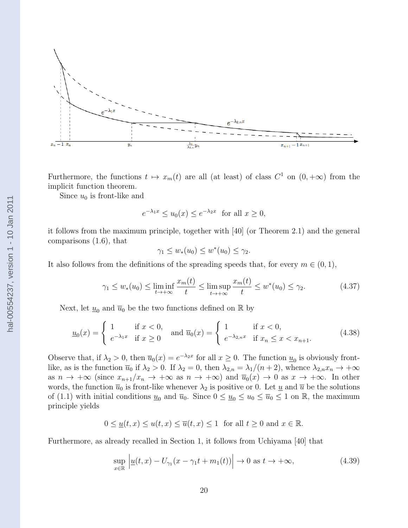

Furthermore, the functions  $t \mapsto x_m(t)$  are all (at least) of class  $C^1$  on  $(0, +\infty)$  from the implicit function theorem.

Since  $u_0$  is front-like and

$$
e^{-\lambda_1 x} \le u_0(x) \le e^{-\lambda_2 x} \quad \text{for all } x \ge 0,
$$

it follows from the maximum principle, together with [40] (or Theorem 2.1) and the general comparisons (1.6), that

$$
\gamma_1 \le w_*(u_0) \le w^*(u_0) \le \gamma_2.
$$

It also follows from the definitions of the spreading speeds that, for every  $m \in (0, 1)$ ,

$$
\gamma_1 \le w_*(u_0) \le \liminf_{t \to +\infty} \frac{x_m(t)}{t} \le \limsup_{t \to +\infty} \frac{x_m(t)}{t} \le w^*(u_0) \le \gamma_2. \tag{4.37}
$$

Next, let  $\underline{u}_0$  and  $\overline{u}_0$  be the two functions defined on  $\mathbb R$  by

$$
\underline{u}_0(x) = \begin{cases} 1 & \text{if } x < 0, \\ e^{-\lambda_1 x} & \text{if } x \ge 0 \end{cases} \text{ and } \overline{u}_0(x) = \begin{cases} 1 & \text{if } x < 0, \\ e^{-\lambda_{2,n} x} & \text{if } x_n \le x < x_{n+1}. \end{cases} (4.38)
$$

Observe that, if  $\lambda_2 > 0$ , then  $\overline{u}_0(x) = e^{-\lambda_2 x}$  for all  $x \ge 0$ . The function  $\underline{u}_0$  is obviously frontlike, as is the function  $\overline{u}_0$  if  $\lambda_2 > 0$ . If  $\lambda_2 = 0$ , then  $\lambda_{2,n} = \lambda_1/(n+2)$ , whence  $\lambda_{2,n}x_n \to +\infty$ as  $n \to +\infty$  (since  $x_{n+1}/x_n \to +\infty$  as  $n \to +\infty$ ) and  $\overline{u}_0(x) \to 0$  as  $x \to +\infty$ . In other words, the function  $\overline{u}_0$  is front-like whenever  $\lambda_2$  is positive or 0. Let  $\underline{u}$  and  $\overline{u}$  be the solutions of (1.1) with initial conditions  $\underline{u}_0$  and  $\overline{u}_0$ . Since  $0 \le \underline{u}_0 \le \overline{u}_0 \le \overline{u}_0 \le 1$  on R, the maximum principle yields

$$
0 \leq \underline{u}(t,x) \leq u(t,x) \leq \overline{u}(t,x) \leq 1
$$
 for all  $t \geq 0$  and  $x \in \mathbb{R}$ .

Furthermore, as already recalled in Section 1, it follows from Uchiyama [40] that

$$
\sup_{x \in \mathbb{R}} \left| \underline{u}(t, x) - U_{\gamma_1}(x - \gamma_1 t + m_1(t)) \right| \to 0 \text{ as } t \to +\infty,
$$
\n(4.39)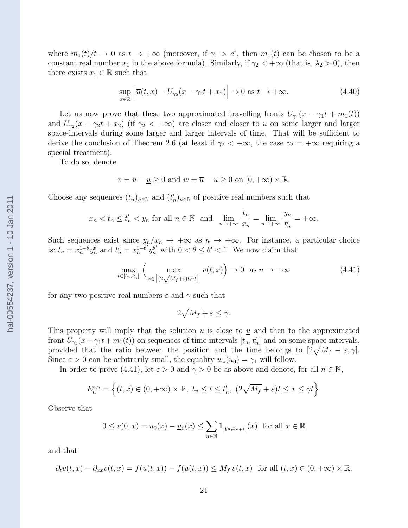where  $m_1(t)/t \to 0$  as  $t \to +\infty$  (moreover, if  $\gamma_1 > c^*$ , then  $m_1(t)$  can be chosen to be a constant real number  $x_1$  in the above formula). Similarly, if  $\gamma_2 < +\infty$  (that is,  $\lambda_2 > 0$ ), then there exists  $x_2 \in \mathbb{R}$  such that

$$
\sup_{x \in \mathbb{R}} \left| \overline{u}(t, x) - U_{\gamma_2}(x - \gamma_2 t + x_2) \right| \to 0 \text{ as } t \to +\infty.
$$
 (4.40)

Let us now prove that these two approximated travelling fronts  $U_{\gamma_1}(x - \gamma_1 t + m_1(t))$ and  $U_{\gamma_2}(x - \gamma_2 t + x_2)$  (if  $\gamma_2 < +\infty$ ) are closer and closer to u on some larger and larger space-intervals during some larger and larger intervals of time. That will be sufficient to derive the conclusion of Theorem 2.6 (at least if  $\gamma_2 < +\infty$ , the case  $\gamma_2 = +\infty$  requiring a special treatment).

To do so, denote

$$
v = u - \underline{u} \ge 0
$$
 and  $w = \overline{u} - u \ge 0$  on  $[0, +\infty) \times \mathbb{R}$ .

Choose any sequences  $(t_n)_{n\in\mathbb{N}}$  and  $(t'_n)_{n\in\mathbb{N}}$  of positive real numbers such that

$$
x_n < t_n \le t'_n < y_n
$$
 for all  $n \in \mathbb{N}$  and  $\lim_{n \to +\infty} \frac{t_n}{x_n} = \lim_{n \to +\infty} \frac{y_n}{t'_n} = +\infty$ .

Such sequences exist since  $y_n/x_n \to +\infty$  as  $n \to +\infty$ . For instance, a particular choice is:  $t_n = x_n^{1-\theta} y_n^{\theta}$  and  $t'_n = x_n^{1-\theta'}$  $\int_{n}^{1-\theta'} y_n^{\theta'}$  with  $0 < \theta \leq \theta' < 1$ . We now claim that

$$
\max_{t \in [t_n, t'_n]} \left( \max_{x \in \left[ (2\sqrt{M_f} + \varepsilon)t, \gamma t \right]} v(t, x) \right) \to 0 \quad \text{as } n \to +\infty \tag{4.41}
$$

for any two positive real numbers  $\varepsilon$  and  $\gamma$  such that

$$
2\sqrt{M_f} + \varepsilon \le \gamma.
$$

This property will imply that the solution u is close to  $\underline{u}$  and then to the approximated front  $U_{\gamma_1}(x-\gamma_1 t + m_1(t))$  on sequences of time-intervals  $[t_n, t'_n]$  and on some space-intervals, provided that the ratio between the position and the time belongs to  $[2\sqrt{M_f} + \varepsilon, \gamma]$ . Since  $\varepsilon > 0$  can be arbitrarily small, the equality  $w_*(u_0) = \gamma_1$  will follow.

In order to prove (4.41), let  $\varepsilon > 0$  and  $\gamma > 0$  be as above and denote, for all  $n \in \mathbb{N}$ ,

$$
E_n^{\varepsilon,\gamma} = \Big\{ (t,x) \in (0,+\infty) \times \mathbb{R}, \ t_n \le t \le t'_n, \ (2\sqrt{M_f} + \varepsilon)t \le x \le \gamma t \Big\}.
$$

Observe that

$$
0 \le v(0, x) = u_0(x) - \underline{u}_0(x) \le \sum_{n \in \mathbb{N}} \mathbf{1}_{[y_n, x_{n+1}]}(x)
$$
 for all  $x \in \mathbb{R}$ 

and that

$$
\partial_t v(t,x) - \partial_{xx} v(t,x) = f(u(t,x)) - f(\underline{u}(t,x)) \le M_f v(t,x) \text{ for all } (t,x) \in (0, +\infty) \times \mathbb{R},
$$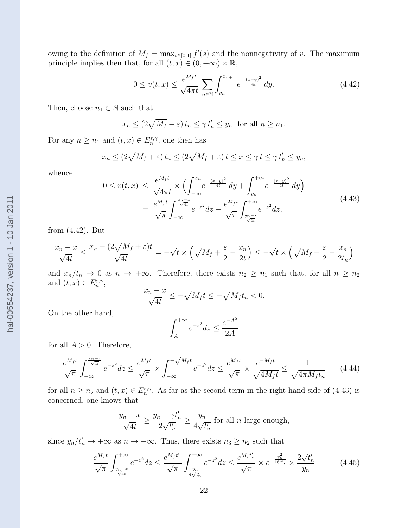owing to the definition of  $M_f = \max_{s \in [0,1]} f'(s)$  and the nonnegativity of v. The maximum principle implies then that, for all  $(t, x) \in (0, +\infty) \times \mathbb{R}$ ,

$$
0 \le v(t,x) \le \frac{e^{M_f t}}{\sqrt{4\pi t}} \sum_{n \in \mathbb{N}} \int_{y_n}^{x_{n+1}} e^{-\frac{(x-y)^2}{4t}} dy.
$$
 (4.42)

Then, choose  $n_1 \in \mathbb{N}$  such that

$$
x_n \le (2\sqrt{M_f} + \varepsilon) t_n \le \gamma t'_n \le y_n
$$
 for all  $n \ge n_1$ .

For any  $n \geq n_1$  and  $(t, x) \in E_n^{\varepsilon, \gamma}$ , one then has

$$
x_n \le (2\sqrt{M_f} + \varepsilon) t_n \le (2\sqrt{M_f} + \varepsilon) t \le x \le \gamma t \le \gamma t'_n \le y_n,
$$

whence

$$
0 \le v(t,x) \le \frac{e^{M_f t}}{\sqrt{4\pi t}} \times \left( \int_{-\infty}^{x_n} e^{-\frac{(x-y)^2}{4t}} dy + \int_{y_n}^{+\infty} e^{-\frac{(x-y)^2}{4t}} dy \right)
$$
  
= 
$$
\frac{e^{M_f t}}{\sqrt{\pi}} \int_{-\infty}^{\frac{x_n - x}{\sqrt{4t}}} e^{-z^2} dz + \frac{e^{M_f t}}{\sqrt{\pi}} \int_{\frac{y_n - x}{\sqrt{4t}}}^{+\infty} e^{-z^2} dz,
$$
 (4.43)

from (4.42). But

$$
\frac{x_n - x}{\sqrt{4t}} \le \frac{x_n - (2\sqrt{M_f} + \varepsilon)t}{\sqrt{4t}} = -\sqrt{t} \times \left(\sqrt{M_f} + \frac{\varepsilon}{2} - \frac{x_n}{2t}\right) \le -\sqrt{t} \times \left(\sqrt{M_f} + \frac{\varepsilon}{2} - \frac{x_n}{2t_n}\right)
$$

and  $x_n/t_n \to 0$  as  $n \to +\infty$ . Therefore, there exists  $n_2 \geq n_1$  such that, for all  $n \geq n_2$ and  $(t, x) \in E_n^{\varepsilon, \gamma},$ 

$$
\frac{x_n - x}{\sqrt{4t}} \le -\sqrt{M_f t} \le -\sqrt{M_f t_n} < 0.
$$

On the other hand,

$$
\int_{A}^{+\infty} e^{-z^2} dz \le \frac{e^{-A^2}}{2A}
$$

for all  $A > 0$ . Therefore,

$$
\frac{e^{M_f t}}{\sqrt{\pi}} \int_{-\infty}^{\frac{x_n - x}{\sqrt{4t}}} e^{-z^2} dz \le \frac{e^{M_f t}}{\sqrt{\pi}} \times \int_{-\infty}^{-\sqrt{M_f t}} e^{-z^2} dz \le \frac{e^{M_f t}}{\sqrt{\pi}} \times \frac{e^{-M_f t}}{\sqrt{4M_f t}} \le \frac{1}{\sqrt{4\pi M_f t_n}} \tag{4.44}
$$

for all  $n \geq n_2$  and  $(t, x) \in E_n^{\varepsilon, \gamma}$ . As far as the second term in the right-hand side of (4.43) is concerned, one knows that

$$
\frac{y_n - x}{\sqrt{4t}} \ge \frac{y_n - \gamma t'_n}{2\sqrt{t'_n}} \ge \frac{y_n}{4\sqrt{t'_n}}
$$
 for all *n* large enough,

since  $y_n/t'_n \to +\infty$  as  $n \to +\infty$ . Thus, there exists  $n_3 \geq n_2$  such that

$$
\frac{e^{M_f t}}{\sqrt{\pi}} \int_{\frac{y_n - x}{\sqrt{4t}}}^{+\infty} e^{-z^2} dz \le \frac{e^{M_f t'_n}}{\sqrt{\pi}} \int_{\frac{y_n}{4\sqrt{t'_n}}}^{+\infty} e^{-z^2} dz \le \frac{e^{M_f t'_n}}{\sqrt{\pi}} \times e^{-\frac{y_n^2}{16 t'_n}} \times \frac{2\sqrt{t'_n}}{y_n}
$$
(4.45)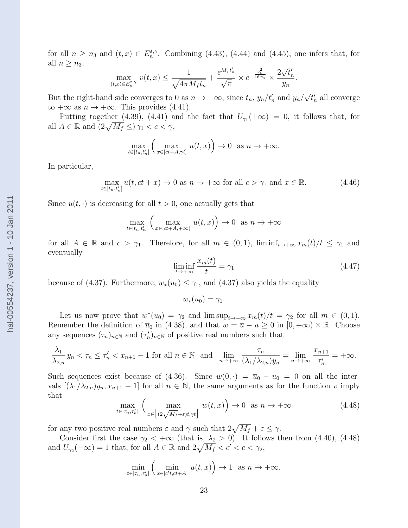for all  $n \geq n_3$  and  $(t, x) \in E_n^{\varepsilon, \gamma}$ . Combining (4.43), (4.44) and (4.45), one infers that, for all  $n \geq n_3$ , √

$$
\max_{(t,x)\in E_n^{\varepsilon,\gamma}} v(t,x) \le \frac{1}{\sqrt{4\pi M_f t_n}} + \frac{e^{M_f t'_n}}{\sqrt{\pi}} \times e^{-\frac{y_n^2}{16 t'_n}} \times \frac{2\sqrt{t'_n}}{y_n}.
$$

But the right-hand side converges to 0 as  $n \to +\infty$ , since  $t_n$ ,  $y_n/t'_n$  and  $y_n/$ √  $\overline{t'_n}$  all converge to  $+\infty$  as  $n \to +\infty$ . This provides (4.41).

Putting together (4.39), (4.41) and the fact that  $U_{\gamma_1}(+\infty) = 0$ , it follows that, for all  $A \in \mathbb{R}$  and  $\left(2\sqrt{M_f} \leq \right) \gamma_1 < c < \gamma$ ,

$$
\max_{t \in [t_n, t'_n]} \left( \max_{x \in [ct + A, \gamma t]} u(t, x) \right) \to 0 \text{ as } n \to +\infty.
$$

In particular,

$$
\max_{t \in [t_n, t'_n]} u(t, ct + x) \to 0 \text{ as } n \to +\infty \text{ for all } c > \gamma_1 \text{ and } x \in \mathbb{R}.
$$
 (4.46)

Since  $u(t, \cdot)$  is decreasing for all  $t > 0$ , one actually gets that

$$
\max_{t \in [t_n, t'_n]} \left( \max_{x \in [ct + A, +\infty)} u(t, x) \right) \to 0 \text{ as } n \to +\infty
$$

for all  $A \in \mathbb{R}$  and  $c > \gamma_1$ . Therefore, for all  $m \in (0,1)$ ,  $\liminf_{t \to +\infty} x_m(t)/t \leq \gamma_1$  and eventually

$$
\liminf_{t \to +\infty} \frac{x_m(t)}{t} = \gamma_1 \tag{4.47}
$$

because of (4.37). Furthermore,  $w_*(u_0) \leq \gamma_1$ , and (4.37) also yields the equality

$$
w_*(u_0)=\gamma_1.
$$

Let us now prove that  $w^*(u_0) = \gamma_2$  and  $\limsup_{t \to +\infty} x_m(t)/t = \gamma_2$  for all  $m \in (0,1)$ . Remember the definition of  $\overline{u}_0$  in (4.38), and that  $w = \overline{u} - u \ge 0$  in  $[0, +\infty) \times \mathbb{R}$ . Choose any sequences  $(\tau_n)_{n\in\mathbb{N}}$  and  $(\tau'_n)_{n\in\mathbb{N}}$  of positive real numbers such that

$$
\frac{\lambda_1}{\lambda_{2,n}} y_n < \tau_n \le \tau'_n < x_{n+1} - 1 \text{ for all } n \in \mathbb{N} \text{ and } \lim_{n \to +\infty} \frac{\tau_n}{(\lambda_1/\lambda_{2,n})y_n} = \lim_{n \to +\infty} \frac{x_{n+1}}{\tau'_n} = +\infty.
$$

Such sequences exist because of (4.36). Since  $w(0, \cdot) = \overline{u}_0 - u_0 = 0$  on all the intervals  $[(\lambda_1/\lambda_{2,n})y_n, x_{n+1} - 1]$  for all  $n \in \mathbb{N}$ , the same arguments as for the function v imply that

$$
\max_{t \in [\tau_n, \tau'_n]} \left( \max_{x \in \left[ (2\sqrt{M_f} + \varepsilon)t, \gamma t \right]} w(t, x) \right) \to 0 \quad \text{as } n \to +\infty \tag{4.48}
$$

for any two positive real numbers  $\varepsilon$  and  $\gamma$  such that  $2\sqrt{M_f} + \varepsilon \leq \gamma$ .

Consider first the case  $\gamma_2 < +\infty$  (that is,  $\lambda_2 > 0$ ). It follows then from (4.40), (4.48) and  $U_{\gamma_2}(-\infty) = 1$  that, for all  $A \in \mathbb{R}$  and  $2\sqrt{M_f} < c' < c < \gamma_2$ ,

$$
\min_{t \in [\tau_n, \tau'_n]} \left( \min_{x \in [c't, ct+A]} u(t, x) \right) \to 1 \text{ as } n \to +\infty.
$$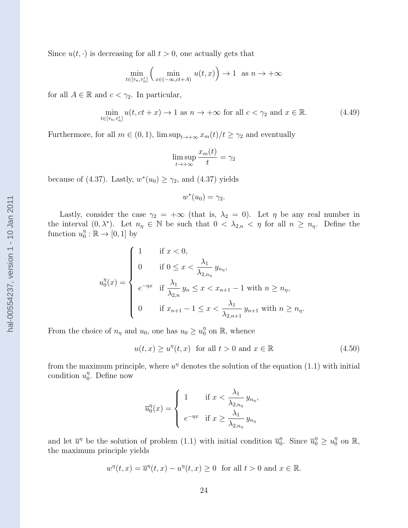$$
\min_{t \in [\tau_n, \tau'_n]} \left( \min_{x \in (-\infty, ct+A)} u(t,x) \right) \to 1 \text{ as } n \to +\infty
$$

for all  $A \in \mathbb{R}$  and  $c < \gamma_2$ . In particular,

$$
\min_{t \in [\tau_n, \tau'_n]} u(t, ct + x) \to 1 \text{ as } n \to +\infty \text{ for all } c < \gamma_2 \text{ and } x \in \mathbb{R}.
$$
 (4.49)

Furthermore, for all  $m \in (0, 1)$ ,  $\limsup_{t \to +\infty} x_m(t)/t \geq \gamma_2$  and eventually

$$
\limsup_{t \to +\infty} \frac{x_m(t)}{t} = \gamma_2
$$

because of (4.37). Lastly,  $w^*(u_0) \geq \gamma_2$ , and (4.37) yields

$$
w^*(u_0) = \gamma_2.
$$

Lastly, consider the case  $\gamma_2 = +\infty$  (that is,  $\lambda_2 = 0$ ). Let  $\eta$  be any real number in the interval  $(0, \lambda^*)$ . Let  $n_{\eta} \in \mathbb{N}$  be such that  $0 < \lambda_{2,n} < \eta$  for all  $n \geq n_{\eta}$ . Define the function  $u_0^{\eta}$  $\mathcal{O}_0^n : \mathbb{R} \to [0,1]$  by

$$
u_0^{\eta}(x) = \begin{cases} 1 & \text{if } x < 0, \\ 0 & \text{if } 0 \le x < \frac{\lambda_1}{\lambda_{2,n_{\eta}}}} y_{n_{\eta}}, \\ e^{-\eta x} & \text{if } \frac{\lambda_1}{\lambda_{2,n}} y_n \le x < x_{n+1} - 1 \text{ with } n \ge n_{\eta}, \\ 0 & \text{if } x_{n+1} - 1 \le x < \frac{\lambda_1}{\lambda_{2,n+1}} y_{n+1} \text{ with } n \ge n_{\eta}. \end{cases}
$$

From the choice of  $n_{\eta}$  and  $u_0$ , one has  $u_0 \geq u_0^{\eta}$  $\int_0^{\eta}$  on  $\mathbb{R}$ , whence

 $u(t, x) \ge u^{\eta}(t, x)$  for all  $t > 0$  and  $x \in \mathbb{R}$  (4.50)

from the maximum principle, where  $u^{\eta}$  denotes the solution of the equation (1.1) with initial condition  $u_0^{\eta}$  $_{0}^{\eta}$ . Define now

$$
\overline{u}_0^{\eta}(x) = \begin{cases} 1 & \text{if } x < \frac{\lambda_1}{\lambda_{2,n_{\eta}}} y_{n_{\eta}}, \\ e^{-\eta x} & \text{if } x \ge \frac{\lambda_1}{\lambda_{2,n_{\eta}}} y_{n_{\eta}} \end{cases}
$$

and let  $\overline{u}^{\eta}$  be the solution of problem (1.1) with initial condition  $\overline{u}_0^{\eta}$ <sup>η</sup>. Since  $\overline{u}_0^{\eta} \geq u_0^{\eta}$  $\int_0^{\eta}$  on  $\mathbb{R},$ the maximum principle yields

$$
w^{\eta}(t,x) = \overline{u}^{\eta}(t,x) - u^{\eta}(t,x) \ge 0 \text{ for all } t > 0 \text{ and } x \in \mathbb{R}.
$$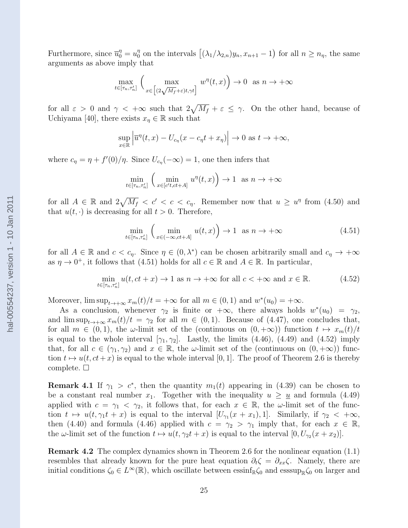Furthermore, since  $\overline{u}_0^{\eta} = u_0^{\eta}$  $\int_0^{\eta}$  on the intervals  $[(\lambda_1/\lambda_{2,n})y_n, x_{n+1}-1)$  for all  $n \geq n_{\eta}$ , the same arguments as above imply that

$$
\max_{t \in [\tau_n, \tau'_n]} \left( \max_{x \in \left[ (2\sqrt{M_f} + \varepsilon)t, \gamma t \right]} w^\eta(t, x) \right) \to 0 \text{ as } n \to +\infty
$$

for all  $\varepsilon > 0$  and  $\gamma < +\infty$  such that  $2\sqrt{M_f} + \varepsilon \leq \gamma$ . On the other hand, because of Uchiyama [40], there exists  $x_n \in \mathbb{R}$  such that

$$
\sup_{x \in \mathbb{R}} \left| \overline{u}^{\eta}(t,x) - U_{c_{\eta}}(x - c_{\eta}t + x_{\eta}) \right| \to 0 \text{ as } t \to +\infty,
$$

where  $c_{\eta} = \eta + f'(0)/\eta$ . Since  $U_{c_{\eta}}(-\infty) = 1$ , one then infers that

$$
\min_{t \in [\tau_n, \tau'_n]} \left( \min_{x \in [c't, ct+A]} u^\eta(t, x) \right) \to 1 \text{ as } n \to +\infty
$$

for all  $A \in \mathbb{R}$  and  $2\sqrt{M_f} < c' < c < c_\eta$ . Remember now that  $u \geq u^\eta$  from (4.50) and that  $u(t, \cdot)$  is decreasing for all  $t > 0$ . Therefore,

$$
\min_{t \in [\tau_n, \tau'_n]} \left( \min_{x \in (-\infty, ct + A]} u(t, x) \right) \to 1 \quad \text{as } n \to +\infty \tag{4.51}
$$

for all  $A \in \mathbb{R}$  and  $c < c_{\eta}$ . Since  $\eta \in (0, \lambda^*)$  can be chosen arbitrarily small and  $c_{\eta} \to +\infty$ as  $\eta \to 0^+$ , it follows that (4.51) holds for all  $c \in \mathbb{R}$  and  $A \in \mathbb{R}$ . In particular,

$$
\min_{t \in [\tau_n, \tau'_n]} u(t, ct + x) \to 1 \text{ as } n \to +\infty \text{ for all } c < +\infty \text{ and } x \in \mathbb{R}.
$$
 (4.52)

Moreover,  $\limsup_{t\to+\infty}x_m(t)/t=+\infty$  for all  $m\in(0,1)$  and  $w^*(u_0)=+\infty$ .

As a conclusion, whenever  $\gamma_2$  is finite or  $+\infty$ , there always holds  $w^*(u_0) = \gamma_2$ , and  $\limsup_{t\to+\infty}x_m(t)/t=\gamma_2$  for all  $m\in(0,1)$ . Because of (4.47), one concludes that, for all  $m \in (0, 1)$ , the  $\omega$ -limit set of the (continuous on  $(0, +\infty)$ ) function  $t \mapsto x_m(t)/t$ is equal to the whole interval  $[\gamma_1, \gamma_2]$ . Lastly, the limits (4.46), (4.49) and (4.52) imply that, for all  $c \in (\gamma_1, \gamma_2)$  and  $x \in \mathbb{R}$ , the  $\omega$ -limit set of the (continuous on  $(0, +\infty)$ ) function  $t \mapsto u(t, ct+x)$  is equal to the whole interval [0, 1]. The proof of Theorem 2.6 is thereby complete.  $\Box$ 

**Remark 4.1** If  $\gamma_1 > c^*$ , then the quantity  $m_1(t)$  appearing in (4.39) can be chosen to be a constant real number  $x_1$ . Together with the inequality  $u \geq u$  and formula (4.49) applied with  $c = \gamma_1 < \gamma_2$ , it follows that, for each  $x \in \mathbb{R}$ , the  $\omega$ -limit set of the function  $t \mapsto u(t, \gamma_1 t + x)$  is equal to the interval  $[U_{\gamma_1}(x + x_1), 1]$ . Similarly, if  $\gamma_2 < +\infty$ , then (4.40) and formula (4.46) applied with  $c = \gamma_2 > \gamma_1$  imply that, for each  $x \in \mathbb{R}$ , the  $\omega$ -limit set of the function  $t \mapsto u(t, \gamma_2 t + x)$  is equal to the interval  $[0, U_{\gamma_2}(x + x_2)].$ 

Remark 4.2 The complex dynamics shown in Theorem 2.6 for the nonlinear equation (1.1) resembles that already known for the pure heat equation  $\partial_t \zeta = \partial_{xx} \zeta$ . Namely, there are initial conditions  $\zeta_0 \in L^\infty(\mathbb{R})$ , which oscillate between essinf<sub>R</sub> $\zeta_0$  and esssup<sub>R</sub> $\zeta_0$  on larger and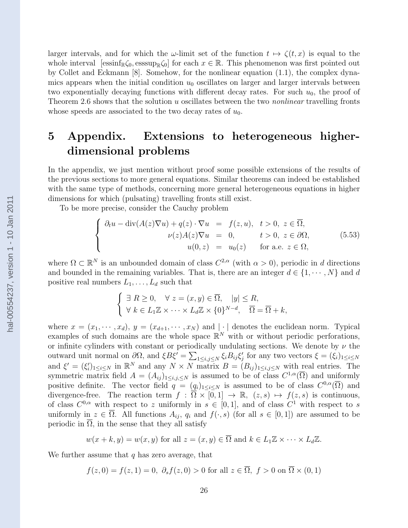larger intervals, and for which the  $\omega$ -limit set of the function  $t \mapsto \zeta(t, x)$  is equal to the whole interval [essinf<sub>R $\zeta_0$ </sub>, esssup<sub>R $\zeta_0$ </sub>] for each  $x \in \mathbb{R}$ . This phenomenon was first pointed out by Collet and Eckmann [8]. Somehow, for the nonlinear equation (1.1), the complex dynamics appears when the initial condition  $u_0$  oscillates on larger and larger intervals between two exponentially decaying functions with different decay rates. For such  $u_0$ , the proof of Theorem 2.6 shows that the solution u oscillates between the two *nonlinear* travelling fronts whose speeds are associated to the two decay rates of  $u_0$ .

## 5 Appendix. Extensions to heterogeneous higherdimensional problems

In the appendix, we just mention without proof some possible extensions of the results of the previous sections to more general equations. Similar theorems can indeed be established with the same type of methods, concerning more general heterogeneous equations in higher dimensions for which (pulsating) travelling fronts still exist.

To be more precise, consider the Cauchy problem

$$
\begin{cases}\n\partial_t u - \operatorname{div}(A(z)\nabla u) + q(z) \cdot \nabla u = f(z, u), & t > 0, \ z \in \overline{\Omega}, \\
\nu(z)A(z)\nabla u = 0, & t > 0, \ z \in \partial\Omega, \\
u(0, z) = u_0(z) & \text{for a.e. } z \in \Omega,\n\end{cases} \tag{5.53}
$$

where  $\Omega \subset \mathbb{R}^N$  is an unbounded domain of class  $C^{2,\alpha}$  (with  $\alpha > 0$ ), periodic in d directions and bounded in the remaining variables. That is, there are an integer  $d \in \{1, \dots, N\}$  and d positive real numbers  $L_1, \ldots, L_d$  such that

$$
\begin{cases} \exists R \geq 0, \quad \forall z = (x, y) \in \overline{\Omega}, \quad |y| \leq R, \\ \forall k \in L_1 \mathbb{Z} \times \cdots \times L_d \mathbb{Z} \times \{0\}^{N-d}, \quad \overline{\Omega} = \overline{\Omega} + k, \end{cases}
$$

where  $x = (x_1, \dots, x_d), y = (x_{d+1}, \dots, x_N)$  and  $|\cdot|$  denotes the euclidean norm. Typical examples of such domains are the whole space  $\mathbb{R}^N$  with or without periodic perforations, or infinite cylinders with constant or periodically undulating sections. We denote by  $\nu$  the outward unit normal on  $\partial\Omega$ , and  $\xi B\xi' = \sum_{1 \le i,j \le N} \xi_i B_{ij}\xi'_j$  for any two vectors  $\xi = (\xi_i)_{1 \le i \le N}$ and  $\xi' = (\xi_i')_{1 \leq i \leq N}$  in  $\mathbb{R}^N$  and any  $N \times N$  matrix  $B = (B_{ij})_{1 \leq i,j \leq N}$  with real entries. The symmetric matrix field  $A = (A_{ij})_{1 \le i,j,\le N}$  is assumed to be of class  $C^{1,\alpha}(\overline{\Omega})$  and uniformly positive definite. The vector field  $q = (q_i)_{1 \leq i \leq N}$  is assumed to be of class  $C^{0,\alpha}(\overline{\Omega})$  and divergence-free. The reaction term  $f : \overline{\Omega} \times [0,1] \rightarrow \mathbb{R}$ ,  $(z,s) \mapsto f(z,s)$  is continuous, of class  $C^{0,\alpha}$  with respect to z uniformly in  $s \in [0,1]$ , and of class  $C^1$  with respect to s uniformly in  $z \in \overline{\Omega}$ . All functions  $A_{ij}$ ,  $q_i$  and  $f(\cdot, s)$  (for all  $s \in [0, 1]$ ) are assumed to be periodic in  $\overline{\Omega}$ , in the sense that they all satisfy

$$
w(x+k, y) = w(x, y)
$$
 for all  $z = (x, y) \in \overline{\Omega}$  and  $k \in L_1 \mathbb{Z} \times \cdots \times L_d \mathbb{Z}$ .

We further assume that  $q$  has zero average, that

$$
f(z,0) = f(z,1) = 0, \ \partial_s f(z,0) > 0 \text{ for all } z \in \overline{\Omega}, \ f > 0 \text{ on } \overline{\Omega} \times (0,1)
$$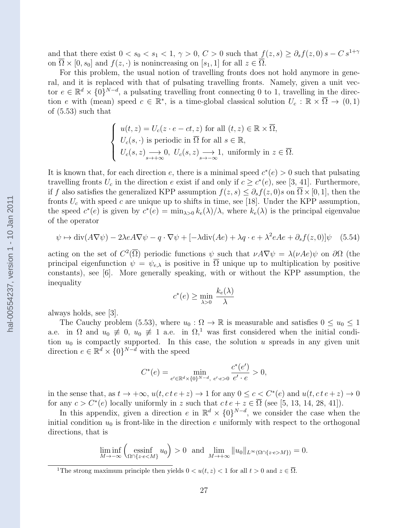and that there exist  $0 < s_0 < s_1 < 1$ ,  $\gamma > 0$ ,  $C > 0$  such that  $f(z, s) \geq \partial_s f(z, 0) s - C s^{1+\gamma}$ on  $\overline{\Omega} \times [0, s_0]$  and  $f(z, \cdot)$  is nonincreasing on  $[s_1, 1]$  for all  $z \in \overline{\Omega}$ .

For this problem, the usual notion of travelling fronts does not hold anymore in general, and it is replaced with that of pulsating travelling fronts. Namely, given a unit vector  $e \in \mathbb{R}^d \times \{0\}^{N-d}$ , a pulsating travelling front connecting 0 to 1, travelling in the direction e with (mean) speed  $c \in \mathbb{R}^*$ , is a time-global classical solution  $U_c : \mathbb{R} \times \overline{\Omega} \to (0,1)$ of (5.53) such that

$$
\begin{cases}\n u(t, z) = U_c(z \cdot e - ct, z) \text{ for all } (t, z) \in \mathbb{R} \times \overline{\Omega}, \\
 U_c(s, \cdot) \text{ is periodic in } \overline{\Omega} \text{ for all } s \in \mathbb{R}, \\
 U_c(s, z) \longrightarrow 0, \ U_c(s, z) \longrightarrow 1, \text{ uniformly in } z \in \overline{\Omega}.\n\end{cases}
$$

It is known that, for each direction e, there is a minimal speed  $c^*(e) > 0$  such that pulsating travelling fronts  $U_c$  in the direction e exist if and only if  $c \geq c^*(e)$ , see [3, 41]. Furthermore, if f also satisfies the generalized KPP assumption  $f(z, s) \leq \partial_s f(z, 0) s$  on  $\Omega \times [0, 1]$ , then the fronts  $U_c$  with speed c are unique up to shifts in time, see [18]. Under the KPP assumption, the speed  $c^*(e)$  is given by  $c^*(e) = \min_{\lambda>0} k_e(\lambda)/\lambda$ , where  $k_e(\lambda)$  is the principal eigenvalue of the operator

$$
\psi \mapsto \text{div}(A\nabla\psi) - 2\lambda e A \nabla\psi - q \cdot \nabla\psi + \left[ -\lambda \text{div}(Ae) + \lambda q \cdot e + \lambda^2 e A e + \partial_s f(z, 0) \right] \psi \tag{5.54}
$$

acting on the set of  $C^2(\overline{\Omega})$  periodic functions  $\psi$  such that  $\nu A \nabla \psi = \lambda(\nu A e) \psi$  on  $\partial \Omega$  (the principal eigenfunction  $\psi = \psi_{e,\lambda}$  is positive in  $\Omega$  unique up to multiplication by positive constants), see [6]. More generally speaking, with or without the KPP assumption, the inequality

$$
c^*(e) \ge \min_{\lambda > 0} \frac{k_e(\lambda)}{\lambda}
$$

always holds, see [3].

The Cauchy problem (5.53), where  $u_0 : \Omega \to \mathbb{R}$  is measurable and satisfies  $0 \le u_0 \le 1$ a.e. in  $\Omega$  and  $u_0 \neq 0$ ,  $u_0 \neq 1$  a.e. in  $\Omega$ ,<sup>1</sup> was first considered when the initial condition  $u_0$  is compactly supported. In this case, the solution u spreads in any given unit direction  $e \in \mathbb{R}^d \times \{0\}^{N-d}$  with the speed

$$
C^*(e) = \min_{e' \in \mathbb{R}^d \times \{0\}^{N-d}, \ e' \cdot e > 0} \frac{c^*(e')}{e' \cdot e} > 0,
$$

in the sense that, as  $t \to +\infty$ ,  $u(t, c t e + z) \to 1$  for any  $0 \le c < C^*(e)$  and  $u(t, c t e + z) \to 0$ for any  $c > C^*(e)$  locally uniformly in z such that  $ct e + z \in \overline{\Omega}$  (see [5, 13, 14, 28, 41]).

In this appendix, given a direction e in  $\mathbb{R}^d \times \{0\}^{N-d}$ , we consider the case when the initial condition  $u_0$  is front-like in the direction e uniformly with respect to the orthogonal directions, that is

$$
\liminf_{M \to -\infty} \left( \underset{\Omega \cap \{z \cdot e < M\}}{\text{essinf}} u_0 \right) > 0 \quad \text{and} \quad \lim_{M \to +\infty} \|u_0\|_{L^\infty(\Omega \cap \{z \cdot e > M\})} = 0.
$$

hal-00554237, version 1 - 10 Jan 2011 hal-00554237, version 1 - 10 Jan 2011

<sup>&</sup>lt;sup>1</sup>The strong maximum principle then yields  $0 < u(t, z) < 1$  for all  $t > 0$  and  $z \in \overline{\Omega}$ .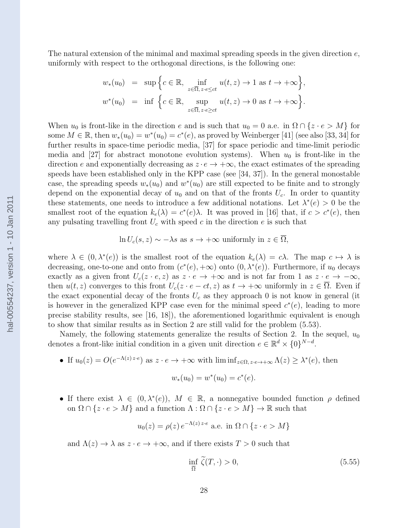The natural extension of the minimal and maximal spreading speeds in the given direction  $e$ , uniformly with respect to the orthogonal directions, is the following one:

$$
w_*(u_0) = \sup \Big\{ c \in \mathbb{R}, \inf_{z \in \overline{\Omega}, z \cdot e \le ct} u(t, z) \to 1 \text{ as } t \to +\infty \Big\},
$$
  

$$
w^*(u_0) = \inf \Big\{ c \in \mathbb{R}, \sup_{z \in \overline{\Omega}, z \cdot e \ge ct} u(t, z) \to 0 \text{ as } t \to +\infty \Big\}.
$$

When  $u_0$  is front-like in the direction e and is such that  $u_0 = 0$  a.e. in  $\Omega \cap \{z \cdot e > M\}$  for some  $M \in \mathbb{R}$ , then  $w_*(u_0) = w^*(u_0) = c^*(e)$ , as proved by Weinberger [41] (see also [33, 34] for further results in space-time periodic media, [37] for space periodic and time-limit periodic media and [27] for abstract monotone evolution systems). When  $u_0$  is front-like in the direction e and exponentially decreasing as  $z \cdot e \rightarrow +\infty$ , the exact estimates of the spreading speeds have been established only in the KPP case (see [34, 37]). In the general monostable case, the spreading speeds  $w_*(u_0)$  and  $w^*(u_0)$  are still expected to be finite and to strongly depend on the exponential decay of  $u_0$  and on that of the fronts  $U_c$ . In order to quantity these statements, one needs to introduce a few additional notations. Let  $\lambda^*(e) > 0$  be the smallest root of the equation  $k_e(\lambda) = c^*(e)\lambda$ . It was proved in [16] that, if  $c > c^*(e)$ , then any pulsating travelling front  $U_c$  with speed c in the direction e is such that

$$
\ln U_c(s, z) \sim -\lambda s
$$
 as  $s \to +\infty$  uniformly in  $z \in \overline{\Omega}$ ,

where  $\lambda \in (0, \lambda^*(e))$  is the smallest root of the equation  $k_e(\lambda) = c\lambda$ . The map  $c \mapsto \lambda$  is decreasing, one-to-one and onto from  $(c^*(e), +\infty)$  onto  $(0, \lambda^*(e))$ . Furthermore, if  $u_0$  decays exactly as a given front  $U_c(z \cdot e, z)$  as  $z \cdot e \rightarrow +\infty$  and is not far from 1 as  $z \cdot e \rightarrow -\infty$ , then  $u(t, z)$  converges to this front  $U_c(z \cdot e - ct, z)$  as  $t \to +\infty$  uniformly in  $z \in \overline{\Omega}$ . Even if the exact exponential decay of the fronts  $U_c$  as they approach 0 is not know in general (it is however in the generalized KPP case even for the minimal speed  $c^*(e)$ , leading to more precise stability results, see [16, 18]), the aforementioned logarithmic equivalent is enough to show that similar results as in Section 2 are still valid for the problem (5.53).

Namely, the following statements generalize the results of Section 2. In the sequel,  $u_0$ denotes a front-like initial condition in a given unit direction  $e \in \mathbb{R}^d \times \{0\}^{N-d}$ .

- If  $u_0(z) = O(e^{-\Lambda(z) z \cdot e})$  as  $z \cdot e \to +\infty$  with  $\liminf_{z \in \Omega, z \cdot e \to +\infty} \Lambda(z) \geq \lambda^*(e)$ , then  $w_*(u_0) = w^*(u_0) = c^*(e).$
- If there exist  $\lambda \in (0, \lambda^*(e)), M \in \mathbb{R}$ , a nonnegative bounded function  $\rho$  defined on  $\Omega \cap \{z \cdot e > M\}$  and a function  $\Lambda : \Omega \cap \{z \cdot e > M\} \to \mathbb{R}$  such that

$$
u_0(z) = \rho(z) e^{-\Lambda(z) z \cdot e} \text{ a.e. in } \Omega \cap \{z \cdot e > M\}
$$

and  $\Lambda(z) \to \lambda$  as  $z \cdot e \to +\infty$ , and if there exists  $T > 0$  such that

$$
\inf_{\overline{\Omega}} \tilde{\zeta}(T, \cdot) > 0,\tag{5.55}
$$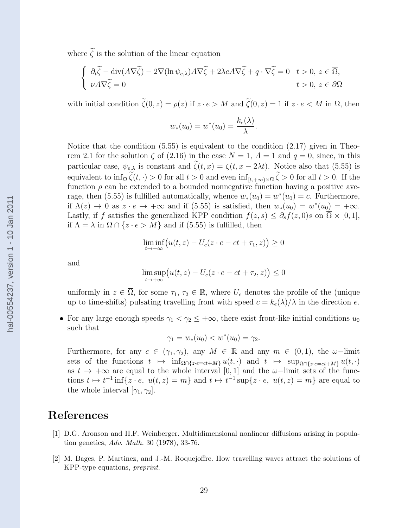where  $\tilde{\zeta}$  is the solution of the linear equation

$$
\begin{cases} \n\partial_t \widetilde{\zeta} - \operatorname{div}(A \nabla \widetilde{\zeta}) - 2 \nabla (\ln \psi_{e,\lambda}) A \nabla \widetilde{\zeta} + 2 \lambda e A \nabla \widetilde{\zeta} + q \cdot \nabla \widetilde{\zeta} = 0 & t > 0, \ z \in \overline{\Omega}, \\ \n\psi A \nabla \widetilde{\zeta} = 0 & t > 0, \ z \in \partial \Omega \n\end{cases}
$$

with initial condition  $\tilde{\zeta}(0, z) = \rho(z)$  if  $z \cdot e > M$  and  $\tilde{\zeta}(0, z) = 1$  if  $z \cdot e < M$  in  $\Omega$ , then

$$
w_*(u_0) = w^*(u_0) = \frac{k_e(\lambda)}{\lambda}.
$$

Notice that the condition (5.55) is equivalent to the condition (2.17) given in Theorem 2.1 for the solution  $\zeta$  of (2.16) in the case  $N = 1$ ,  $A = 1$  and  $q = 0$ , since, in this particular case,  $\psi_{e,\lambda}$  is constant and  $\zeta(t,x) = \zeta(t,x-2\lambda t)$ . Notice also that (5.55) is equivalent to  $\inf_{\overline{\Omega}} \zeta(t, \cdot) > 0$  for all  $t > 0$  and even  $\inf_{[t, +\infty) \times \overline{\Omega}} \zeta > 0$  for all  $t > 0$ . If the function  $\rho$  can be extended to a bounded nonnegative function having a positive average, then (5.55) is fulfilled automatically, whence  $w_*(u_0) = w^*(u_0) = c$ . Furthermore, if  $\Lambda(z) \to 0$  as  $z \cdot e \to +\infty$  and if (5.55) is satisfied, then  $w_*(u_0) = w^*(u_0) = +\infty$ . Lastly, if f satisfies the generalized KPP condition  $f(z, s) \leq \partial_s f(z, 0) s$  on  $\overline{\Omega} \times [0, 1]$ , if  $\Lambda = \lambda$  in  $\Omega \cap \{z \cdot e > M\}$  and if (5.55) is fulfilled, then

$$
\liminf_{t \to +\infty} \big( u(t, z) - U_c(z \cdot e - ct + \tau_1, z) \big) \ge 0
$$

and

$$
\limsup_{t \to +\infty} \big( u(t, z) - U_c(z \cdot e - ct + \tau_2, z) \big) \le 0
$$

uniformly in  $z \in \overline{\Omega}$ , for some  $\tau_1, \tau_2 \in \mathbb{R}$ , where  $U_c$  denotes the profile of the (unique up to time-shifts) pulsating travelling front with speed  $c = k_e(\lambda)/\lambda$  in the direction e.

• For any large enough speeds  $\gamma_1 < \gamma_2 \leq +\infty$ , there exist front-like initial conditions  $u_0$ such that

$$
\gamma_1 = w_*(u_0) < w^*(u_0) = \gamma_2.
$$

Furthermore, for any  $c \in (\gamma_1, \gamma_2)$ , any  $M \in \mathbb{R}$  and any  $m \in (0, 1)$ , the  $\omega$ -limit sets of the functions  $t \mapsto \inf_{\Omega \cap \{z\cdot e=ct+M\}} u(t, \cdot)$  and  $t \mapsto \sup_{\Omega \cap \{z\cdot e=ct+M\}} u(t, \cdot)$ as  $t \to +\infty$  are equal to the whole interval [0, 1] and the  $\omega$ -limit sets of the functions  $t \mapsto t^{-1} \inf \{ z \cdot e, u(t, z) = m \}$  and  $t \mapsto t^{-1} \sup \{ z \cdot e, u(t, z) = m \}$  are equal to the whole interval  $[\gamma_1, \gamma_2]$ .

### References

- [1] D.G. Aronson and H.F. Weinberger. Multidimensional nonlinear diffusions arising in population genetics, Adv. Math. 30 (1978), 33-76.
- [2] M. Bages, P. Martinez, and J.-M. Roquejoffre. How travelling waves attract the solutions of KPP-type equations, preprint.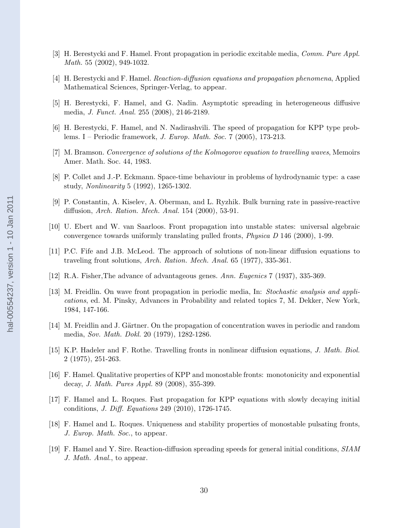- [3] H. Berestycki and F. Hamel. Front propagation in periodic excitable media, Comm. Pure Appl. Math. 55 (2002), 949-1032.
- [4] H. Berestycki and F. Hamel. Reaction-diffusion equations and propagation phenomena, Applied Mathematical Sciences, Springer-Verlag, to appear.
- [5] H. Berestycki, F. Hamel, and G. Nadin. Asymptotic spreading in heterogeneous diffusive media, J. Funct. Anal. 255 (2008), 2146-2189.
- [6] H. Berestycki, F. Hamel, and N. Nadirashvili. The speed of propagation for KPP type problems. I – Periodic framework, *J. Europ. Math. Soc.* 7 (2005), 173-213.
- [7] M. Bramson. Convergence of solutions of the Kolmogorov equation to travelling waves, Memoirs Amer. Math. Soc. 44, 1983.
- [8] P. Collet and J.-P. Eckmann. Space-time behaviour in problems of hydrodynamic type: a case study, Nonlinearity 5 (1992), 1265-1302.
- [9] P. Constantin, A. Kiselev, A. Oberman, and L. Ryzhik. Bulk burning rate in passive-reactive diffusion, Arch. Ration. Mech. Anal. 154 (2000), 53-91.
- [10] U. Ebert and W. van Saarloos. Front propagation into unstable states: universal algebraic convergence towards uniformly translating pulled fronts, Physica D 146 (2000), 1-99.
- [11] P.C. Fife and J.B. McLeod. The approach of solutions of non-linear diffusion equations to traveling front solutions, Arch. Ration. Mech. Anal. 65 (1977), 335-361.
- [12] R.A. Fisher,The advance of advantageous genes. Ann. Eugenics 7 (1937), 335-369.
- [13] M. Freidlin. On wave front propagation in periodic media, In: Stochastic analysis and applications, ed. M. Pinsky, Advances in Probability and related topics 7, M. Dekker, New York, 1984, 147-166.
- [14] M. Freidlin and J. Gärtner. On the propagation of concentration waves in periodic and random media, Sov. Math. Dokl. 20 (1979), 1282-1286.
- [15] K.P. Hadeler and F. Rothe. Travelling fronts in nonlinear diffusion equations, J. Math. Biol. 2 (1975), 251-263.
- [16] F. Hamel. Qualitative properties of KPP and monostable fronts: monotonicity and exponential decay, J. Math. Pures Appl. 89 (2008), 355-399.
- [17] F. Hamel and L. Roques. Fast propagation for KPP equations with slowly decaying initial conditions, J. Diff. Equations 249 (2010), 1726-1745.
- [18] F. Hamel and L. Roques. Uniqueness and stability properties of monostable pulsating fronts, J. Europ. Math. Soc., to appear.
- [19] F. Hamel and Y. Sire. Reaction-diffusion spreading speeds for general initial conditions, SIAM J. Math. Anal., to appear.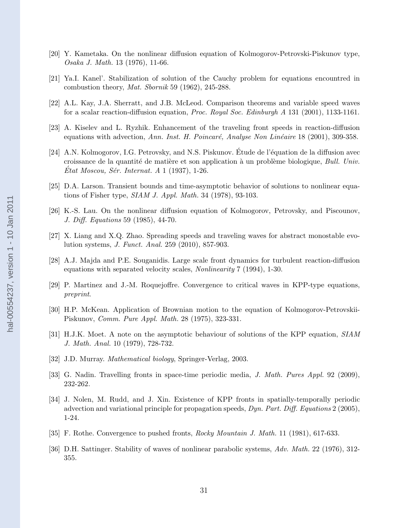- [20] Y. Kametaka. On the nonlinear diffusion equation of Kolmogorov-Petrovski-Piskunov type, Osaka J. Math. 13 (1976), 11-66.
- [21] Ya.I. Kanel'. Stabilization of solution of the Cauchy problem for equations encountred in combustion theory, Mat. Sbornik 59 (1962), 245-288.
- [22] A.L. Kay, J.A. Sherratt, and J.B. McLeod. Comparison theorems and variable speed waves for a scalar reaction-diffusion equation, *Proc. Royal Soc. Edinburgh A* 131 (2001), 1133-1161.
- [23] A. Kiselev and L. Ryzhik. Enhancement of the traveling front speeds in reaction-diffusion equations with advection, Ann. Inst. H. Poincaré, Analyse Non Linéaire 18 (2001), 309-358.
- [24] A.N. Kolmogorov, I.G. Petrovsky, and N.S. Piskunov. Étude de l'équation de la diffusion avec croissance de la quantité de matière et son application à un problème biologique, Bull. Univ. Etat Moscou, Sér. Internat. A  $1$  (1937), 1-26.
- [25] D.A. Larson. Transient bounds and time-asymptotic behavior of solutions to nonlinear equations of Fisher type, SIAM J. Appl. Math. 34 (1978), 93-103.
- [26] K.-S. Lau. On the nonlinear diffusion equation of Kolmogorov, Petrovsky, and Piscounov, J. Diff. Equations 59 (1985), 44-70.
- [27] X. Liang and X.Q. Zhao. Spreading speeds and traveling waves for abstract monostable evolution systems, J. Funct. Anal. 259 (2010), 857-903.
- [28] A.J. Majda and P.E. Souganidis. Large scale front dynamics for turbulent reaction-diffusion equations with separated velocity scales, Nonlinearity 7 (1994), 1-30.
- [29] P. Martinez and J.-M. Roquejoffre. Convergence to critical waves in KPP-type equations, preprint.
- [30] H.P. McKean. Application of Brownian motion to the equation of Kolmogorov-Petrovskii-Piskunov, Comm. Pure Appl. Math. 28 (1975), 323-331.
- [31] H.J.K. Moet. A note on the asymptotic behaviour of solutions of the KPP equation, SIAM J. Math. Anal. 10 (1979), 728-732.
- [32] J.D. Murray. *Mathematical biology*, Springer-Verlag, 2003.
- [33] G. Nadin. Travelling fronts in space-time periodic media, *J. Math. Pures Appl.* 92 (2009), 232-262.
- [34] J. Nolen, M. Rudd, and J. Xin. Existence of KPP fronts in spatially-temporally periodic advection and variational principle for propagation speeds,  $Dyn. Part. Diff. Equations 2 (2005),$ 1-24.
- [35] F. Rothe. Convergence to pushed fronts, Rocky Mountain J. Math. 11 (1981), 617-633.
- [36] D.H. Sattinger. Stability of waves of nonlinear parabolic systems, Adv. Math. 22 (1976), 312- 355.